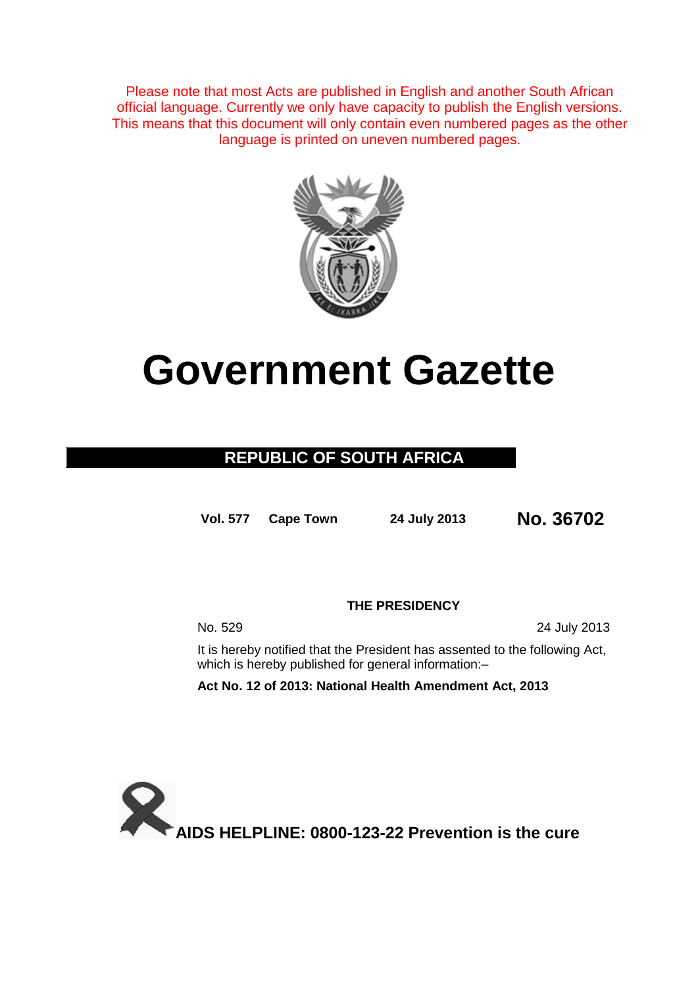Please note that most Acts are published in English and another South African official language. Currently we only have capacity to publish the English versions. This means that this document will only contain even numbered pages as the other language is printed on uneven numbered pages.



# **Government Gazette**

## **REPUBLIC OF SOUTH AFRICA**

**Vol. 577 Cape Town 24 July 2013 No. 36702**

**THE PRESIDENCY**

No. 529 24 July 2013

It is hereby notified that the President has assented to the following Act, which is hereby published for general information:-

**Act No. 12 of 2013: National Health Amendment Act, 2013**

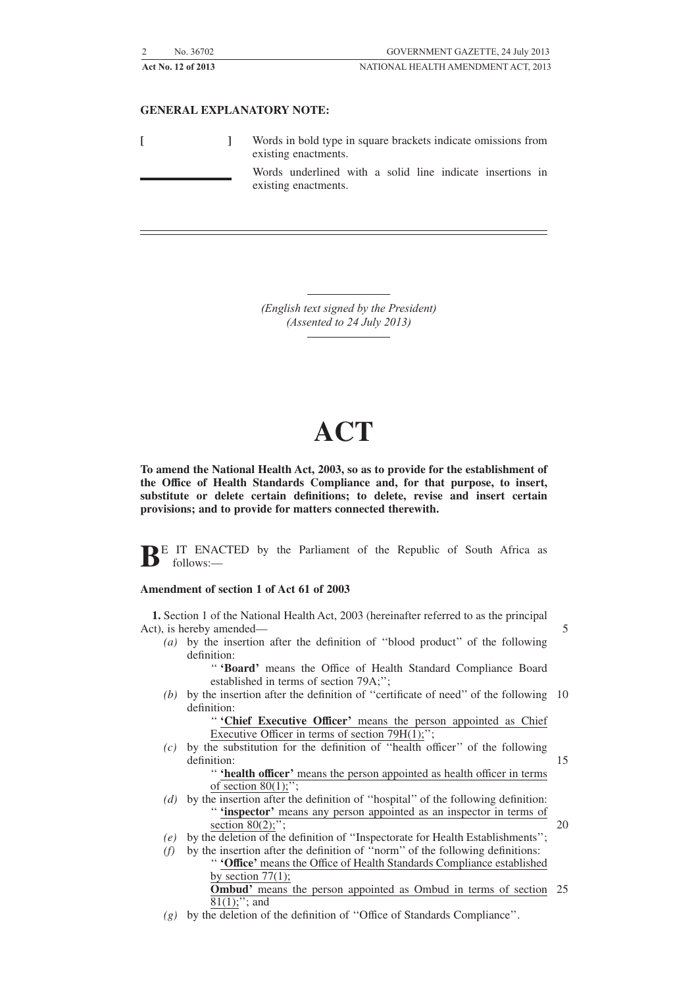| No. 36702          | GOVERNMENT GAZETTE, 24 July 2013    |
|--------------------|-------------------------------------|
| Act No. 12 of 2013 | NATIONAL HEALTH AMENDMENT ACT. 2013 |

#### **GENERAL EXPLANATORY NOTE:**

|  | Words in bold type in square brackets indicate omissions from<br>existing enactments. |  |  |
|--|---------------------------------------------------------------------------------------|--|--|
|  | Words underlined with a solid line indicate insertions in<br>existing enactments.     |  |  |

*(English text signed by the President) (Assented to 24 July 2013)*

## **ACT**

**To amend the National Health Act, 2003, so as to provide for the establishment of the Office of Health Standards Compliance and, for that purpose, to insert, substitute or delete certain definitions; to delete, revise and insert certain provisions; and to provide for matters connected therewith.**

**BE** IT ENACTED by the Parliament of the Republic of South Africa as follows:—

#### **Amendment of section 1 of Act 61 of 2003**

**1.** Section 1 of the National Health Act, 2003 (hereinafter referred to as the principal Act), is hereby amended—

*(a)* by the insertion after the definition of ''blood product'' of the following definition:

> '' **'Board'** means the Office of Health Standard Compliance Board established in terms of section 79A;'';

 $(b)$  by the insertion after the definition of "certificate of need" of the following 10 definition:

> '' **'Chief Executive Officer'** means the person appointed as Chief Executive Officer in terms of section  $79H(1)$ ;";

*(c)* by the substitution for the definition of ''health officer'' of the following definition: '' **'health officer'** means the person appointed as health officer in terms

15

- of section  $80(1)$ ;"; *(d)* by the insertion after the definition of ''hospital'' of the following definition: '' **'inspector'** means any person appointed as an inspector in terms of section  $80(2)$ ;"; 20
- *(e)* by the deletion of the definition of ''Inspectorate for Health Establishments'';
- *(f)* by the insertion after the definition of ''norm'' of the following definitions: '' **'Office'** means the Office of Health Standards Compliance established by section  $77(1)$ ; **Ombud'** means the person appointed as Ombud in terms of section 25
- $81(1);$ "; and *(g)* by the deletion of the definition of ''Office of Standards Compliance''.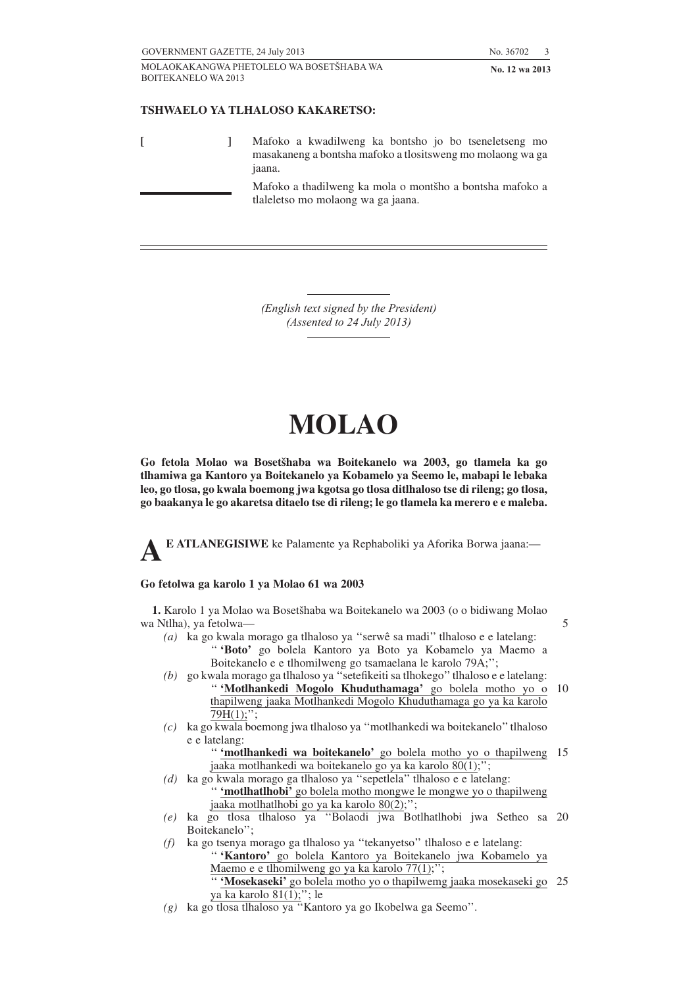5

## **TSHWAELO YA TLHALOSO KAKARETSO:**

**[ ]** Mafoko a kwadilweng ka bontsho jo bo tseneletseng mo masakaneng a bontsha mafoko a tlositsweng mo molaong wa ga jaana. Mafoko a thadilweng ka mola o montšho a bontsha mafoko a tlaleletso mo molaong wa ga jaana.

> *(English text signed by the President) (Assented to 24 July 2013)*

## **MOLAO**

**Go fetola Molao wa Bosetsˇhaba wa Boitekanelo wa 2003, go tlamela ka go tlhamiwa ga Kantoro ya Boitekanelo ya Kobamelo ya Seemo le, mabapi le lebaka leo, go tlosa, go kwala boemong jwa kgotsa go tlosa ditlhaloso tse di rileng; go tlosa, go baakanya le go akaretsa ditaelo tse di rileng; le go tlamela ka merero e e maleba.**

**AE ATLANEGISIWE** ke Palamente ya Rephaboliki ya Aforika Borwa jaana:—

#### **Go fetolwa ga karolo 1 ya Molao 61 wa 2003**

1. Karolo 1 ya Molao wa Bosetšhaba wa Boitekanelo wa 2003 (o o bidiwang Molao wa Ntlha), ya fetolwa—

- *(a)* ka go kwala morago ga tlhaloso ya ''serwê sa madi'' tlhaloso e e latelang: '' **'Boto'** go bolela Kantoro ya Boto ya Kobamelo ya Maemo a Boitekanelo e e tlhomilweng go tsamaelana le karolo 79A;'';
- *(b)* go kwala morago ga tlhaloso ya ''setefikeiti sa tlhokego''tlhaloso e e latelang: '' **'Motlhankedi Mogolo Khuduthamaga'** go bolela motho yo o 10 thapilweng jaaka Motlhankedi Mogolo Khuduthamaga go ya ka karolo  $79H(1);$ ";
- *(c)* ka go kwala boemong jwa tlhaloso ya ''motlhankedi wa boitekanelo''tlhaloso e e latelang:
	- "**'motlhankedi wa boitekanelo'** go bolela motho yo o thapilweng 15 jaaka motlhankedi wa boitekanelo go ya ka karolo 80(1);'';
- *(d)* ka go kwala morago ga tlhaloso ya ''sepetlela'' tlhaloso e e latelang: '' **'motlhatlhobi'** go bolela motho mongwe le mongwe yo o thapilweng jaaka motlhatlhobi go ya ka karolo 80(2);'';
- *(e)* ka go tlosa tlhaloso ya ''Bolaodi jwa Botlhatlhobi jwa Setheo sa 20 Boitekanelo'';
- *(f)* ka go tsenya morago ga tlhaloso ya ''tekanyetso'' tlhaloso e e latelang: '' **'Kantoro'** go bolela Kantoro ya Boitekanelo jwa Kobamelo ya Maemo e e tlhomilweng go ya ka karolo 77(1);''; '' **'Mosekaseki'** go bolela motho yo o thapilwemg jaaka mosekaseki go 25 ya ka karolo 81(1);"; le
- *(g)* ka go tlosa tlhaloso ya ''Kantoro ya go Ikobelwa ga Seemo''.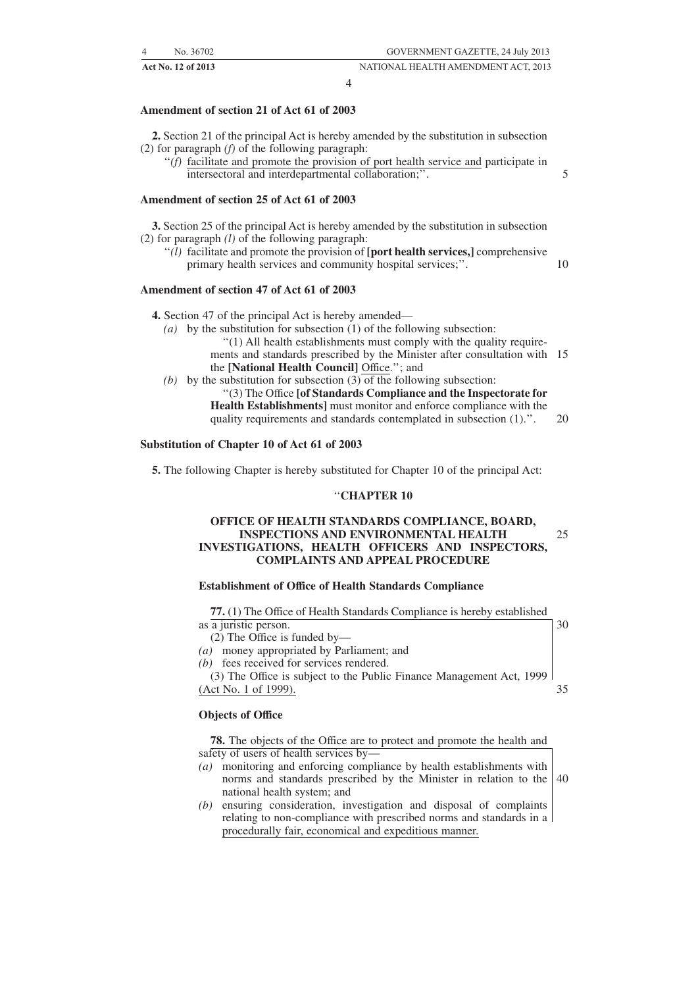5

**Act No. 12 of 2013** NATIONAL HEALTH AMENDMENT ACT, 2013

#### **Amendment of section 21 of Act 61 of 2003**

**2.** Section 21 of the principal Act is hereby amended by the substitution in subsection (2) for paragraph *(f)* of the following paragraph:

''*(f)* facilitate and promote the provision of port health service and participate in intersectoral and interdepartmental collaboration;''.

#### **Amendment of section 25 of Act 61 of 2003**

**3.** Section 25 of the principal Act is hereby amended by the substitution in subsection (2) for paragraph *(l)* of the following paragraph:

''*(l)* facilitate and promote the provision of **[port health services,]** comprehensive primary health services and community hospital services;''. 10

#### **Amendment of section 47 of Act 61 of 2003**

**4.** Section 47 of the principal Act is hereby amended—

- *(a)* by the substitution for subsection (1) of the following subsection:
	- ''(1) All health establishments must comply with the quality requirements and standards prescribed by the Minister after consultation with 15 the **[National Health Council]** Office.''; and
- *(b)* by the substitution for subsection (3) of the following subsection:
	- ''(3) The Office **[of Standards Compliance and the Inspectorate for Health Establishments]** must monitor and enforce compliance with the quality requirements and standards contemplated in subsection (1).''. 20

#### **Substitution of Chapter 10 of Act 61 of 2003**

**5.** The following Chapter is hereby substituted for Chapter 10 of the principal Act:

#### ''**CHAPTER 10**

#### **OFFICE OF HEALTH STANDARDS COMPLIANCE, BOARD, INSPECTIONS AND ENVIRONMENTAL HEALTH INVESTIGATIONS, HEALTH OFFICERS AND INSPECTORS, COMPLAINTS AND APPEAL PROCEDURE** 25

#### **Establishment of Office of Health Standards Compliance**

| 77. (1) The Office of Health Standards Compliance is hereby established |    |
|-------------------------------------------------------------------------|----|
| as a juristic person.                                                   | 30 |
| $(2)$ The Office is funded by-                                          |    |
| (a) money appropriated by Parliament; and                               |    |
| (b) fees received for services rendered.                                |    |
| (3) The Office is subject to the Public Finance Management Act, 1999    |    |
| (Act No. 1 of 1999).                                                    | 35 |
|                                                                         |    |

#### **Objects of Office**

**78.** The objects of the Office are to protect and promote the health and safety of users of health services by—

- *(a)* monitoring and enforcing compliance by health establishments with norms and standards prescribed by the Minister in relation to the national health system; and 40
- *(b)* ensuring consideration, investigation and disposal of complaints relating to non-compliance with prescribed norms and standards in a procedurally fair, economical and expeditious manner.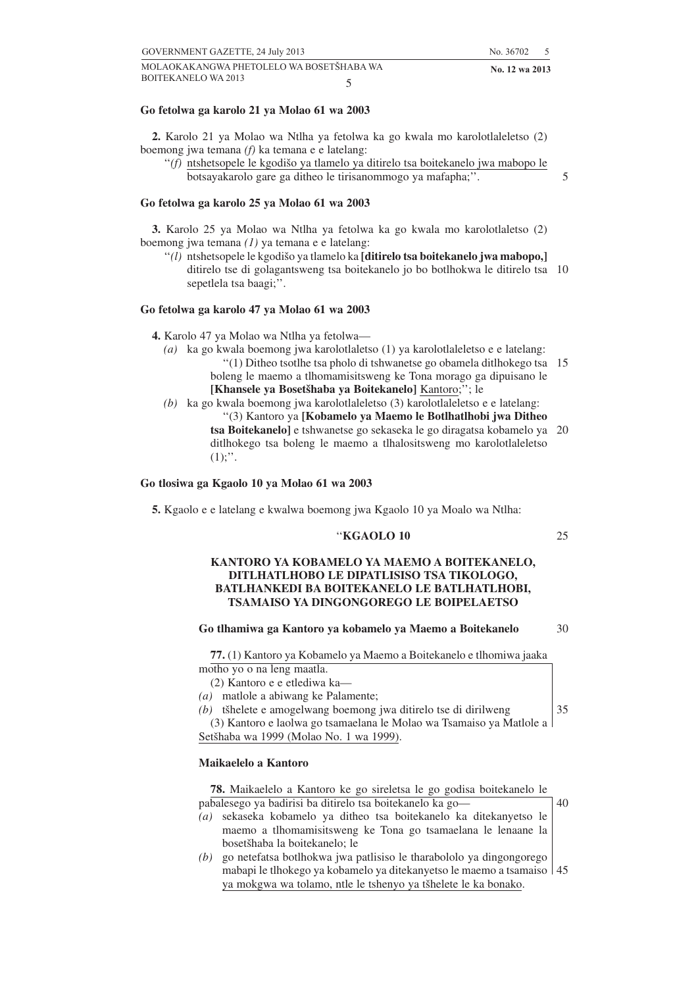#### **Go fetolwa ga karolo 21 ya Molao 61 wa 2003**

**2.** Karolo 21 ya Molao wa Ntlha ya fetolwa ka go kwala mo karolotlaleletso (2) boemong jwa temana *(f)* ka temana e e latelang:

"(f) ntshetsopele le kgodišo ya tlamelo ya ditirelo tsa boitekanelo jwa mabopo le botsayakarolo gare ga ditheo le tirisanommogo ya mafapha;''.

#### **Go fetolwa ga karolo 25 ya Molao 61 wa 2003**

**3.** Karolo 25 ya Molao wa Ntlha ya fetolwa ka go kwala mo karolotlaletso (2) boemong jwa temana *(1)* ya temana e e latelang:

"(*l*) ntshetsopele le kgodišo ya tlamelo ka **[ditirelo tsa boitekanelo jwa mabopo,**] ditirelo tse di golagantsweng tsa boitekanelo jo bo botlhokwa le ditirelo tsa 10 sepetlela tsa baagi;''.

#### **Go fetolwa ga karolo 47 ya Molao 61 wa 2003**

**4.** Karolo 47 ya Molao wa Ntlha ya fetolwa—

- *(a)* ka go kwala boemong jwa karolotlaletso (1) ya karolotlaleletso e e latelang: ''(1) Ditheo tsotlhe tsa pholo di tshwanetse go obamela ditlhokego tsa 15 boleng le maemo a tlhomamisitsweng ke Tona morago ga dipuisano le [Khansele ya Bosetšhaba ya Boitekanelo] Kantoro;"; le
- *(b)* ka go kwala boemong jwa karolotlaleletso (3) karolotlaleletso e e latelang: ''(3) Kantoro ya **[Kobamelo ya Maemo le Botlhatlhobi jwa Ditheo tsa Boitekanelo]** e tshwanetse go sekaseka le go diragatsa kobamelo ya 20 ditlhokego tsa boleng le maemo a tlhalositsweng mo karolotlaleletso  $(1)$ ;".

#### **Go tlosiwa ga Kgaolo 10 ya Molao 61 wa 2003**

**5.** Kgaolo e e latelang e kwalwa boemong jwa Kgaolo 10 ya Moalo wa Ntlha:

#### ''**KGAOLO 10**

#### **KANTORO YA KOBAMELO YA MAEMO A BOITEKANELO, DITLHATLHOBO LE DIPATLISISO TSA TIKOLOGO, BATLHANKEDI BA BOITEKANELO LE BATLHATLHOBI, TSAMAISO YA DINGONGOREGO LE BOIPELAETSO**

#### **Go tlhamiwa ga Kantoro ya kobamelo ya Maemo a Boitekanelo**

**77.** (1) Kantoro ya Kobamelo ya Maemo a Boitekanelo e tlhomiwa jaaka motho yo o na leng maatla.

(2) Kantoro e e etlediwa ka—

- *(a)* matlole a abiwang ke Palamente;
- *(b)* tšhelete e amogelwang boemong jwa ditirelo tse di dirilweng (3) Kantoro e laolwa go tsamaelana le Molao wa Tsamaiso ya Matlole a

Setšhaba wa 1999 (Molao No. 1 wa 1999).

#### **Maikaelelo a Kantoro**

| 78. Maikaelelo a Kantoro ke go sireletsa le go godisa boitekanelo le |    |
|----------------------------------------------------------------------|----|
| pabalesego ya badirisi ba ditirelo tsa boitekanelo ka go-            | 40 |
| (a) sekaseka kobamelo ya ditheo tsa boitekanelo ka ditekanyetso le   |    |
| maemo a thomamisitsweng ke Tona go tsamaelana le lenaane la          |    |

bosetšhaba la boitekanelo; le *(b)* go netefatsa botlhokwa jwa patlisiso le tharabololo ya dingongorego mabapi le tlhokego ya kobamelo ya ditekanyetso le maemo a tsamaiso 45ya mokgwa wa tolamo, ntle le tshenyo ya tšhelete le ka bonako.

5

25

30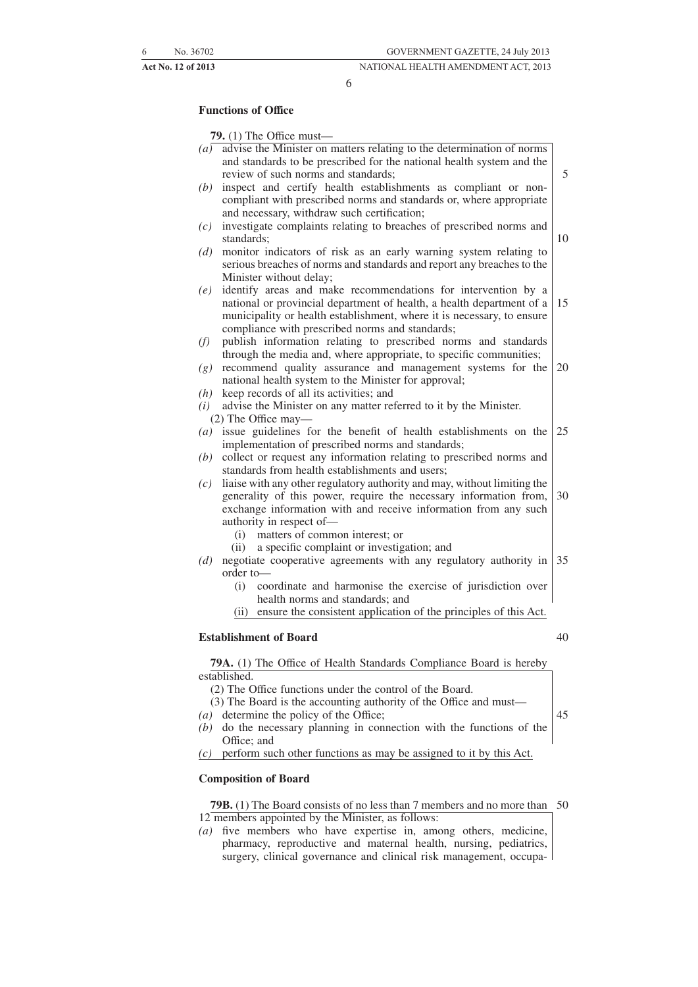6

## **Functions of Office**

**79.** (1) The Office must—

| (a) | advise the Minister on matters relating to the determination of norms                                                                 |    |
|-----|---------------------------------------------------------------------------------------------------------------------------------------|----|
|     | and standards to be prescribed for the national health system and the                                                                 |    |
|     | review of such norms and standards;                                                                                                   | 5  |
| (b) | inspect and certify health establishments as compliant or non-<br>compliant with prescribed norms and standards or, where appropriate |    |
|     | and necessary, withdraw such certification;                                                                                           |    |
| (c) | investigate complaints relating to breaches of prescribed norms and                                                                   |    |
|     | standards;                                                                                                                            | 10 |
| (d) | monitor indicators of risk as an early warning system relating to                                                                     |    |
|     | serious breaches of norms and standards and report any breaches to the                                                                |    |
|     | Minister without delay;                                                                                                               |    |
| (e) | identify areas and make recommendations for intervention by a                                                                         |    |
|     | national or provincial department of health, a health department of a                                                                 | 15 |
|     | municipality or health establishment, where it is necessary, to ensure                                                                |    |
|     | compliance with prescribed norms and standards;                                                                                       |    |
| (f) | publish information relating to prescribed norms and standards                                                                        |    |
|     | through the media and, where appropriate, to specific communities;                                                                    |    |
| (g) | recommend quality assurance and management systems for the                                                                            | 20 |
|     | national health system to the Minister for approval;                                                                                  |    |
| (h) | keep records of all its activities; and                                                                                               |    |
| (i) | advise the Minister on any matter referred to it by the Minister.                                                                     |    |
| (a) | (2) The Office may—<br>issue guidelines for the benefit of health establishments on the                                               | 25 |
|     | implementation of prescribed norms and standards;                                                                                     |    |
| (b) | collect or request any information relating to prescribed norms and                                                                   |    |
|     | standards from health establishments and users;                                                                                       |    |
| (c) | liaise with any other regulatory authority and may, without limiting the                                                              |    |
|     | generality of this power, require the necessary information from,                                                                     | 30 |
|     | exchange information with and receive information from any such                                                                       |    |
|     | authority in respect of-                                                                                                              |    |
|     | matters of common interest; or<br>(i)                                                                                                 |    |
|     | a specific complaint or investigation; and<br>(ii)                                                                                    |    |
| (d) | negotiate cooperative agreements with any regulatory authority in                                                                     | 35 |
|     | order to-                                                                                                                             |    |
|     | coordinate and harmonise the exercise of jurisdiction over<br>(i)                                                                     |    |
|     | health norms and standards; and                                                                                                       |    |
|     | ensure the consistent application of the principles of this Act.<br>(ii)                                                              |    |
|     |                                                                                                                                       |    |
|     | <b>Establishment of Board</b>                                                                                                         | 40 |

**79A.** (1) The Office of Health Standards Compliance Board is hereby established.

(2) The Office functions under the control of the Board.

- (3) The Board is the accounting authority of the Office and must—
- *(a)* determine the policy of the Office;
- *(b)* do the necessary planning in connection with the functions of the Office; and

*(c)* perform such other functions as may be assigned to it by this Act.

#### **Composition of Board**

**79B.** (1) The Board consists of no less than 7 members and no more than 5012 members appointed by the Minister, as follows:

*(a)* five members who have expertise in, among others, medicine, pharmacy, reproductive and maternal health, nursing, pediatrics, surgery, clinical governance and clinical risk management, occupa-

- 
- 45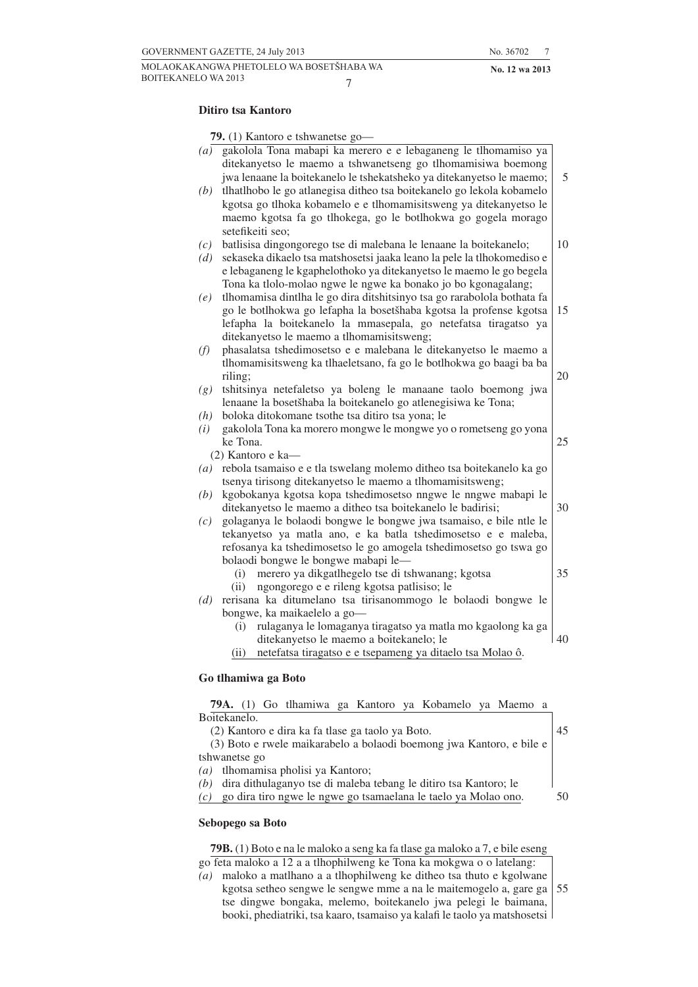#### **Ditiro tsa Kantoro**

**79.** (1) Kantoro e tshwanetse go—

|                   | $\sim$ (1) Humore c conwances $\epsilon$                                                                                                                                                               |    |
|-------------------|--------------------------------------------------------------------------------------------------------------------------------------------------------------------------------------------------------|----|
| $\left( a\right)$ | gakolola Tona mabapi ka merero e e lebaganeng le tlhomamiso ya<br>ditekanyetso le maemo a tshwanetseng go tlhomamisiwa boemong<br>jwa lenaane la boitekanelo le tshekatsheko ya ditekanyetso le maemo; | 5  |
|                   |                                                                                                                                                                                                        |    |
| (b)               | tlhatlhobo le go atlanegisa ditheo tsa boitekanelo go lekola kobamelo                                                                                                                                  |    |
|                   | kgotsa go tlhoka kobamelo e e tlhomamisitsweng ya ditekanyetso le                                                                                                                                      |    |
|                   | maemo kgotsa fa go tlhokega, go le botlhokwa go gogela morago                                                                                                                                          |    |
|                   | setefikeiti seo;                                                                                                                                                                                       |    |
| (c)               | batlisisa dingongorego tse di malebana le lenaane la boitekanelo;                                                                                                                                      | 10 |
| (d)               | sekaseka dikaelo tsa matshosetsi jaaka leano la pele la tlhokomediso e                                                                                                                                 |    |
|                   | e lebaganeng le kgaphelothoko ya ditekanyetso le maemo le go begela                                                                                                                                    |    |
|                   | Tona ka tlolo-molao ngwe le ngwe ka bonako jo bo kgonagalang;                                                                                                                                          |    |
| (e)               | tlhomamisa dintlha le go dira ditshitsinyo tsa go rarabolola bothata fa                                                                                                                                |    |
|                   | go le botlhokwa go lefapha la bosetšhaba kgotsa la profense kgotsa                                                                                                                                     | 15 |
|                   | lefapha la boitekanelo la mmasepala, go netefatsa tiragatso ya                                                                                                                                         |    |
|                   | ditekanyetso le maemo a tlhomamisitsweng;                                                                                                                                                              |    |
| (f)               | phasalatsa tshedimosetso e e malebana le ditekanyetso le maemo a                                                                                                                                       |    |
|                   | tlhomamisitsweng ka tlhaeletsano, fa go le botlhokwa go baagi ba ba                                                                                                                                    |    |
|                   | riling;                                                                                                                                                                                                | 20 |
| (g)               | tshitsinya netefaletso ya boleng le manaane taolo boemong jwa                                                                                                                                          |    |
|                   | lenaane la bosetšhaba la boitekanelo go atlenegisiwa ke Tona;                                                                                                                                          |    |
| (h)               | boloka ditokomane tsothe tsa ditiro tsa yona; le                                                                                                                                                       |    |
| (i)               | gakolola Tona ka morero mongwe le mongwe yo o rometseng go yona                                                                                                                                        |    |
|                   | ke Tona.                                                                                                                                                                                               | 25 |
|                   | $(2)$ Kantoro e ka—                                                                                                                                                                                    |    |
| $\left( a\right)$ | rebola tsamaiso e e tla tswelang molemo ditheo tsa boitekanelo ka go                                                                                                                                   |    |
|                   | tsenya tirisong ditekanyetso le maemo a tlhomamisitsweng;                                                                                                                                              |    |
| (b)               | kgobokanya kgotsa kopa tshedimosetso nngwe le nngwe mabapi le                                                                                                                                          |    |
|                   | ditekanyetso le maemo a ditheo tsa boitekanelo le badirisi;                                                                                                                                            | 30 |
|                   | golaganya le bolaodi bongwe le bongwe jwa tsamaiso, e bile ntle le                                                                                                                                     |    |
| (c)               | tekanyetso ya matla ano, e ka batla tshedimosetso e e maleba,                                                                                                                                          |    |
|                   |                                                                                                                                                                                                        |    |
|                   | refosanya ka tshedimosetso le go amogela tshedimosetso go tswa go                                                                                                                                      |    |
|                   | bolaodi bongwe le bongwe mabapi le-                                                                                                                                                                    |    |
|                   | merero ya dikgatlhegelo tse di tshwanang; kgotsa<br>(i)                                                                                                                                                | 35 |
|                   | ngongorego e e rileng kgotsa patlisiso; le<br>(ii)                                                                                                                                                     |    |
| (d)               | rerisana ka ditumelano tsa tirisanommogo le bolaodi bongwe le                                                                                                                                          |    |
|                   | bongwe, ka maikaelelo a go-                                                                                                                                                                            |    |
|                   | rulaganya le lomaganya tiragatso ya matla mo kgaolong ka ga<br>(i)                                                                                                                                     |    |
|                   | ditekanyetso le maemo a boitekanelo; le                                                                                                                                                                | 40 |
|                   | netefatsa tiragatso e e tsepameng ya ditaelo tsa Molao ô.<br>(ii)                                                                                                                                      |    |
|                   |                                                                                                                                                                                                        |    |
|                   | Go tlhamiwa ga Boto                                                                                                                                                                                    |    |
|                   |                                                                                                                                                                                                        |    |

#### **79A.** (1) Go tlhamiwa ga Kantoro ya Kobamelo ya Maemo a Boitekanelo. (2) Kantoro e dira ka fa tlase ga taolo ya Boto. (3) Boto e rwele maikarabelo a bolaodi boemong jwa Kantoro, e bile e tshwanetse go *(a)* tlhomamisa pholisi ya Kantoro; *(b)* dira dithulaganyo tse di maleba tebang le ditiro tsa Kantoro; le *(c)* go dira tiro ngwe le ngwe go tsamaelana le taelo ya Molao ono. 45 50

#### **Sebopego sa Boto**

**79B.** (1) Boto e na le maloko a seng ka fa tlase ga maloko a 7, e bile eseng

- go feta maloko a 12 a a tlhophilweng ke Tona ka mokgwa o o latelang:
- *(a)* maloko a matlhano a a tlhophilweng ke ditheo tsa thuto e kgolwane kgotsa setheo sengwe le sengwe mme a na le maitemogelo a, gare ga tse dingwe bongaka, melemo, boitekanelo jwa pelegi le baimana, booki, phediatriki, tsa kaaro, tsamaiso ya kalafi le taolo ya matshosetsi 55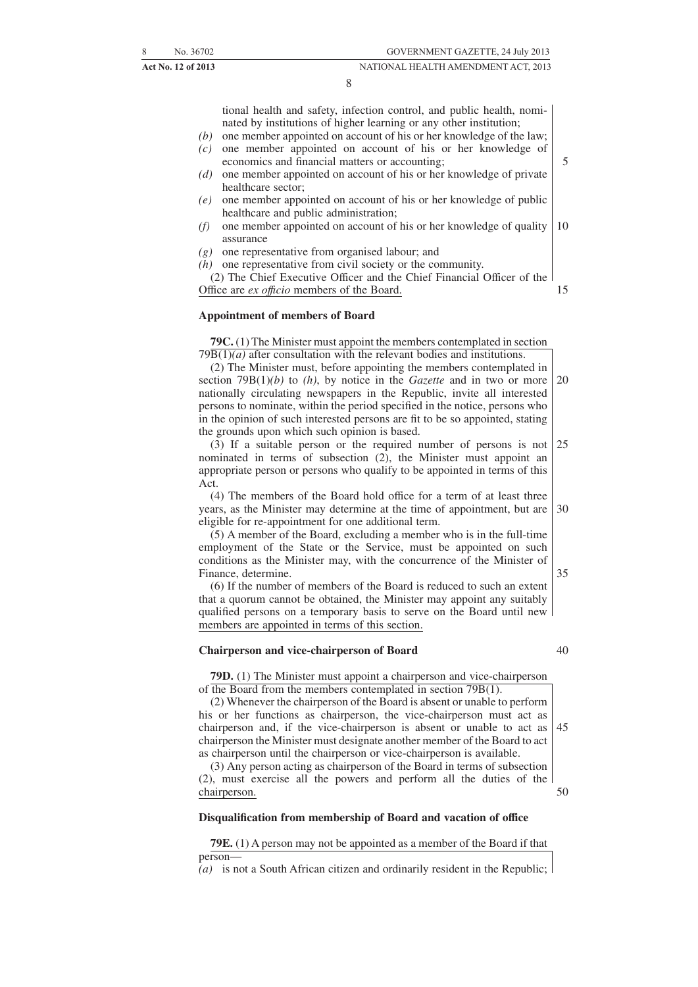tional health and safety, infection control, and public health, nominated by institutions of higher learning or any other institution;

- *(b)* one member appointed on account of his or her knowledge of the law; *(c)* one member appointed on account of his or her knowledge of economics and financial matters or accounting;
- *(d)* one member appointed on account of his or her knowledge of private healthcare sector;
- *(e)* one member appointed on account of his or her knowledge of public healthcare and public administration;
- *(f)* one member appointed on account of his or her knowledge of quality assurance 10
- *(g)* one representative from organised labour; and

*(h)* one representative from civil society or the community.

(2) The Chief Executive Officer and the Chief Financial Officer of the Office are *ex offıcio* members of the Board. 15

#### **Appointment of members of Board**

**79C.** (1) The Minister must appoint the members contemplated in section  $79\overline{B(1)}(a)$  after consultation with the relevant bodies and institutions.

(2) The Minister must, before appointing the members contemplated in section 79B(1)*(b)* to *(h)*, by notice in the *Gazette* and in two or more nationally circulating newspapers in the Republic, invite all interested persons to nominate, within the period specified in the notice, persons who in the opinion of such interested persons are fit to be so appointed, stating the grounds upon which such opinion is based. 20

(3) If a suitable person or the required number of persons is not nominated in terms of subsection (2), the Minister must appoint an appropriate person or persons who qualify to be appointed in terms of this Act. 25

(4) The members of the Board hold office for a term of at least three years, as the Minister may determine at the time of appointment, but are eligible for re-appointment for one additional term. 30

(5) A member of the Board, excluding a member who is in the full-time employment of the State or the Service, must be appointed on such conditions as the Minister may, with the concurrence of the Minister of Finance, determine.

(6) If the number of members of the Board is reduced to such an extent that a quorum cannot be obtained, the Minister may appoint any suitably qualified persons on a temporary basis to serve on the Board until new members are appointed in terms of this section.

#### **Chairperson and vice-chairperson of Board**

40

50

35

5

**79D.** (1) The Minister must appoint a chairperson and vice-chairperson of the Board from the members contemplated in section 79B(1).

(2) Whenever the chairperson of the Board is absent or unable to perform his or her functions as chairperson, the vice-chairperson must act as chairperson and, if the vice-chairperson is absent or unable to act as chairperson the Minister must designate another member of the Board to act as chairperson until the chairperson or vice-chairperson is available. 45

(3) Any person acting as chairperson of the Board in terms of subsection (2), must exercise all the powers and perform all the duties of the chairperson.

#### **Disqualification from membership of Board and vacation of office**

**79E.** (1) A person may not be appointed as a member of the Board if that person—

*(a)* is not a South African citizen and ordinarily resident in the Republic;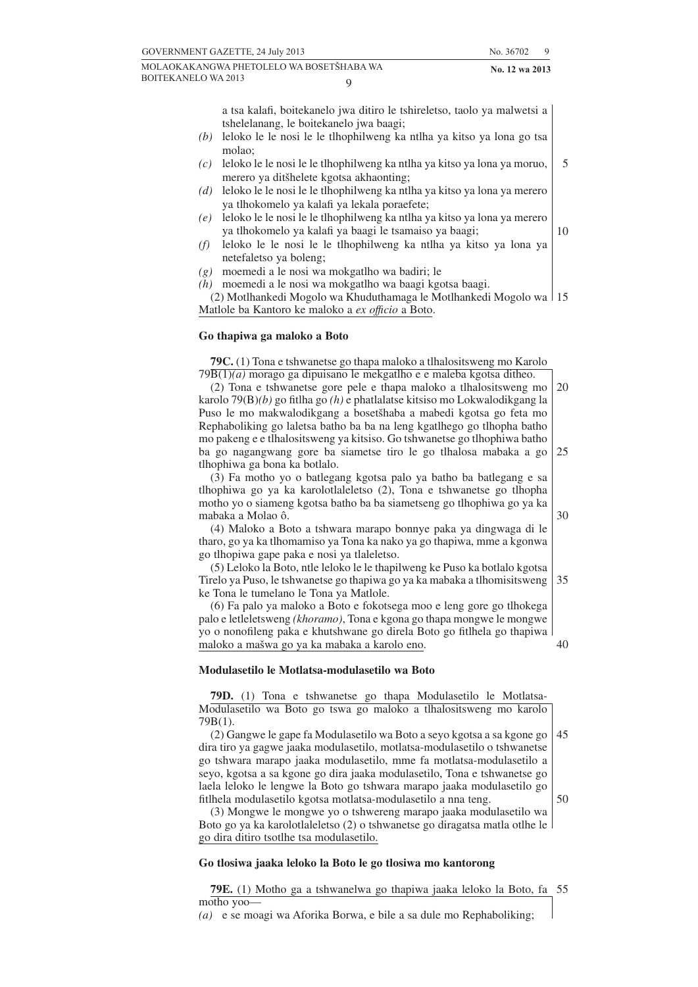MOLAOKAKANGWA PHETOLELO WA BOSETŠHABA WA **No. 12 wa 2013** BOITEKANELO WA 2013  $\overline{Q}$ 

a tsa kalafi, boitekanelo jwa ditiro le tshireletso, taolo ya malwetsi a tshelelanang, le boitekanelo jwa baagi;

- *(b)* leloko le le nosi le le tlhophilweng ka ntlha ya kitso ya lona go tsa molao;
- *(c)* leloko le le nosi le le tlhophilweng ka ntlha ya kitso ya lona ya moruo, merero ya ditšhelete kgotsa akhaonting;
- *(d)* leloko le le nosi le le tlhophilweng ka ntlha ya kitso ya lona ya merero ya tlhokomelo ya kalafi ya lekala poraefete;
- *(e)* leloko le le nosi le le tlhophilweng ka ntlha ya kitso ya lona ya merero ya tlhokomelo ya kalafi ya baagi le tsamaiso ya baagi;
- *(f)* leloko le le nosi le le tlhophilweng ka ntlha ya kitso ya lona ya netefaletso ya boleng;
- *(g)* moemedi a le nosi wa mokgatlho wa badiri; le

*(h)* moemedi a le nosi wa mokgatlho wa baagi kgotsa baagi.

(2) Motlhankedi Mogolo wa Khuduthamaga le Motlhankedi Mogolo wa 15 Matlole ba Kantoro ke maloko a *ex offıcio* a Boto.

#### **Go thapiwa ga maloko a Boto**

**79C.** (1) Tona e tshwanetse go thapa maloko a tlhalositsweng mo Karolo 79B(1)*(a)* morago ga dipuisano le mekgatlho e e maleba kgotsa ditheo.

(2) Tona e tshwanetse gore pele e thapa maloko a tlhalositsweng mo karolo 79(B)*(b)* go fitlha go *(h)* e phatlalatse kitsiso mo Lokwalodikgang la Puso le mo makwalodikgang a bosetšhaba a mabedi kgotsa go feta mo Rephaboliking go laletsa batho ba ba na leng kgatlhego go tlhopha batho mo pakeng e e tlhalositsweng ya kitsiso. Go tshwanetse go tlhophiwa batho ba go nagangwang gore ba siametse tiro le go tlhalosa mabaka a go tlhophiwa ga bona ka botlalo. 20 25

(3) Fa motho yo o batlegang kgotsa palo ya batho ba batlegang e sa tlhophiwa go ya ka karolotlaleletso (2), Tona e tshwanetse go tlhopha motho yo o siameng kgotsa batho ba ba siametseng go tlhophiwa go ya ka mabaka a Molao ô.

(4) Maloko a Boto a tshwara marapo bonnye paka ya dingwaga di le tharo, go ya ka tlhomamiso ya Tona ka nako ya go thapiwa, mme a kgonwa go tlhopiwa gape paka e nosi ya tlaleletso.

(5) Leloko la Boto, ntle leloko le le thapilweng ke Puso ka botlalo kgotsa Tirelo ya Puso, le tshwanetse go thapiwa go ya ka mabaka a tlhomisitsweng ke Tona le tumelano le Tona ya Matlole. 35

(6) Fa palo ya maloko a Boto e fokotsega moo e leng gore go tlhokega palo e letleletsweng *(khoramo)*, Tona e kgona go thapa mongwe le mongwe yo o nonofileng paka e khutshwane go direla Boto go fitlhela go thapiwa maloko a mašwa go ya ka mabaka a karolo eno.

#### **Modulasetilo le Motlatsa-modulasetilo wa Boto**

**79D.** (1) Tona e tshwanetse go thapa Modulasetilo le Motlatsa-Modulasetilo wa Boto go tswa go maloko a tlhalositsweng mo karolo 79B(1).

(2) Gangwe le gape fa Modulasetilo wa Boto a seyo kgotsa a sa kgone go dira tiro ya gagwe jaaka modulasetilo, motlatsa-modulasetilo o tshwanetse go tshwara marapo jaaka modulasetilo, mme fa motlatsa-modulasetilo a seyo, kgotsa a sa kgone go dira jaaka modulasetilo, Tona e tshwanetse go laela leloko le lengwe la Boto go tshwara marapo jaaka modulasetilo go fitlhela modulasetilo kgotsa motlatsa-modulasetilo a nna teng. 45 50

(3) Mongwe le mongwe yo o tshwereng marapo jaaka modulasetilo wa Boto go ya ka karolotlaleletso (2) o tshwanetse go diragatsa matla otlhe le go dira ditiro tsotlhe tsa modulasetilo.

#### **Go tlosiwa jaaka leloko la Boto le go tlosiwa mo kantorong**

**79E.** (1) Motho ga a tshwanelwa go thapiwa jaaka leloko la Boto, fa 55motho yoo—

*(a)* e se moagi wa Aforika Borwa, e bile a sa dule mo Rephaboliking;

10

30

40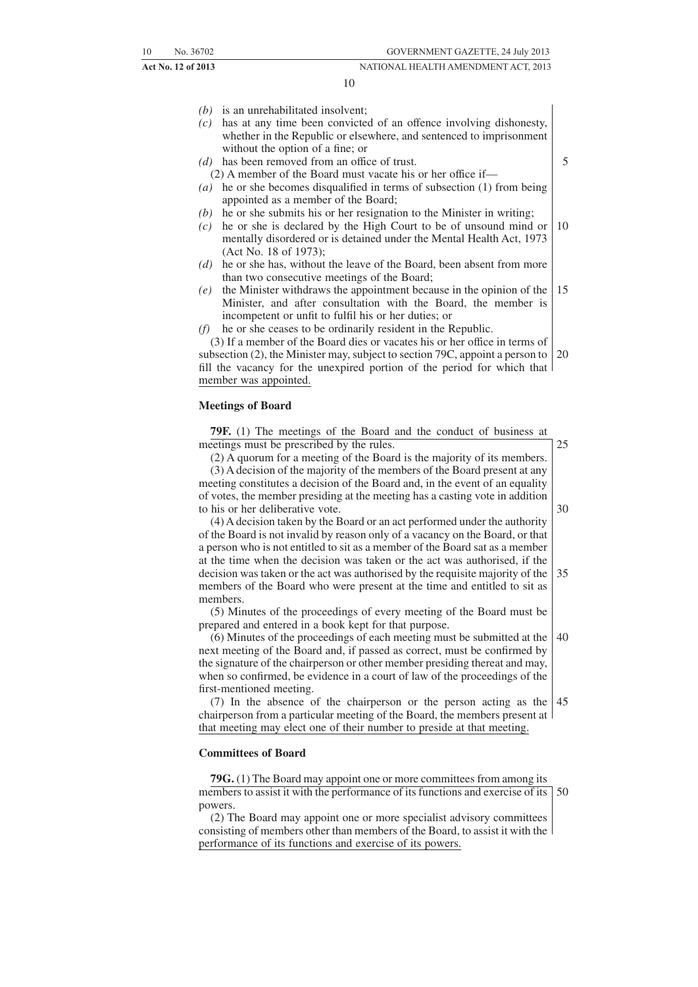5

#### **Act No. 12 of 2013** NATIONAL HEALTH AMENDMENT ACT, 2013

10

- *(b)* is an unrehabilitated insolvent;
- *(c)* has at any time been convicted of an offence involving dishonesty, whether in the Republic or elsewhere, and sentenced to imprisonment without the option of a fine; or
- *(d)* has been removed from an office of trust.
	- (2) A member of the Board must vacate his or her office if—
- *(a)* he or she becomes disqualified in terms of subsection (1) from being appointed as a member of the Board;
- *(b)* he or she submits his or her resignation to the Minister in writing;
- *(c)* he or she is declared by the High Court to be of unsound mind or mentally disordered or is detained under the Mental Health Act, 1973 (Act No. 18 of 1973); 10
- *(d)* he or she has, without the leave of the Board, been absent from more than two consecutive meetings of the Board;
- *(e)* the Minister withdraws the appointment because in the opinion of the Minister, and after consultation with the Board, the member is incompetent or unfit to fulfil his or her duties; or 15
- *(f)* he or she ceases to be ordinarily resident in the Republic.

(3) If a member of the Board dies or vacates his or her office in terms of subsection (2), the Minister may, subject to section 79C, appoint a person to fill the vacancy for the unexpired portion of the period for which that member was appointed. 20

#### **Meetings of Board**

| <b>79F.</b> (1) The meetings of the Board and the conduct of business at                         |       |
|--------------------------------------------------------------------------------------------------|-------|
| meetings must be prescribed by the rules.                                                        | 25    |
| (2) A quorum for a meeting of the Board is the majority of its members.                          |       |
| (3) A decision of the majority of the members of the Board present at any                        |       |
| meeting constitutes a decision of the Board and, in the event of an equality                     |       |
| of votes, the member presiding at the meeting has a casting vote in addition                     |       |
| to his or her deliberative vote.                                                                 | 30    |
| (4) A decision taken by the Board or an act performed under the authority                        |       |
| of the Board is not invalid by reason only of a vacancy on the Board, or that                    |       |
| a person who is not entitled to sit as a member of the Board sat as a member                     |       |
| at the time when the decision was taken or the act was authorised, if the                        |       |
| decision was taken or the act was authorised by the requisite majority of the $\vert 35 \rangle$ |       |
| members of the Board who were present at the time and entitled to sit as                         |       |
| members.                                                                                         |       |
| (5) Minutes of the proceedings of every meeting of the Board must be                             |       |
| prepared and entered in a book kept for that purpose.                                            |       |
| (6) Minutes of the proceedings of each meeting must be submitted at the                          | l 40. |
| next meeting of the Board and, if passed as correct, must be confirmed by                        |       |

next meeting of the Board and, if passed as correct, must be confirmed by the signature of the chairperson or other member presiding thereat and may, when so confirmed, be evidence in a court of law of the proceedings of the first-mentioned meeting.

(7) In the absence of the chairperson or the person acting as the 45 chairperson from a particular meeting of the Board, the members present at that meeting may elect one of their number to preside at that meeting.

#### **Committees of Board**

**79G.** (1) The Board may appoint one or more committees from among its members to assist it with the performance of its functions and exercise of its 50 powers.

(2) The Board may appoint one or more specialist advisory committees consisting of members other than members of the Board, to assist it with the performance of its functions and exercise of its powers.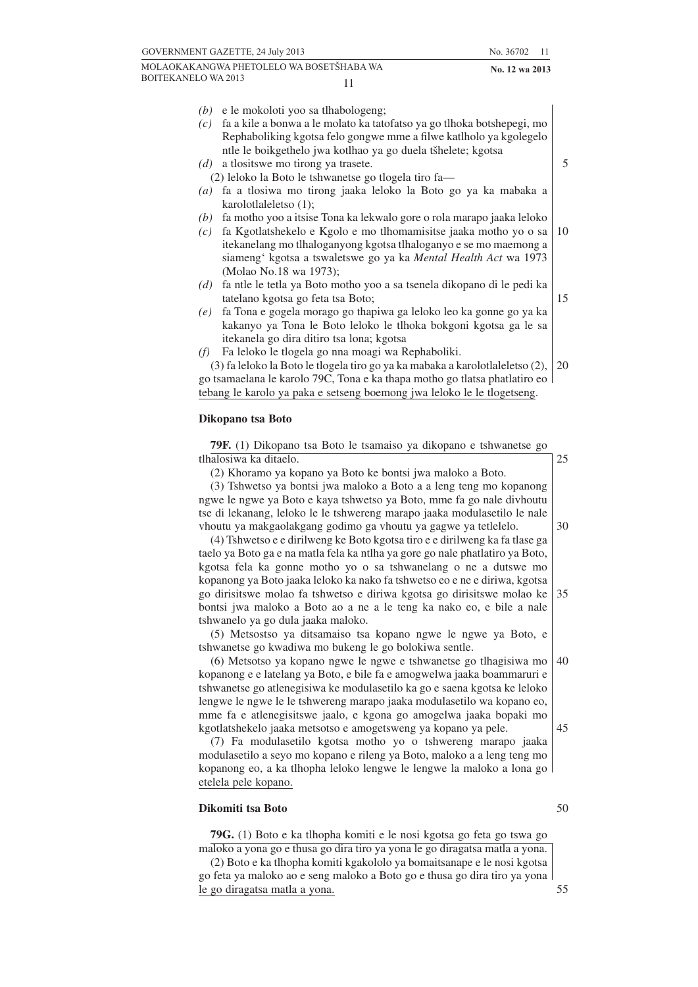*(b)* e le mokoloti yoo sa tlhabologeng; *(c)* fa a kile a bonwa a le molato ka tatofatso ya go tlhoka botshepegi, mo Rephaboliking kgotsa felo gongwe mme a filwe katlholo ya kgolegelo ntle le boikgethelo jwa kotlhao ya go duela tšhelete; kgotsa *(d)* a tlositswe mo tirong ya trasete. (2) leloko la Boto le tshwanetse go tlogela tiro fa— *(a)* fa a tlosiwa mo tirong jaaka leloko la Boto go ya ka mabaka a karolotlaleletso (1); *(b)* fa motho yoo a itsise Tona ka lekwalo gore o rola marapo jaaka leloko *(c)* fa Kgotlatshekelo e Kgolo e mo tlhomamisitse jaaka motho yo o sa itekanelang mo tlhaloganyong kgotsa tlhaloganyo e se mo maemong a siameng' kgotsa a tswaletswe go ya ka *Mental Health Act* wa 1973 (Molao No.18 wa 1973); *(d)* fa ntle le tetla ya Boto motho yoo a sa tsenela dikopano di le pedi ka tatelano kgotsa go feta tsa Boto; *(e)* fa Tona e gogela morago go thapiwa ga leloko leo ka gonne go ya ka kakanyo ya Tona le Boto leloko le tlhoka bokgoni kgotsa ga le sa itekanela go dira ditiro tsa lona; kgotsa

*(f)* Fa leloko le tlogela go nna moagi wa Rephaboliki.

(3) fa leloko la Boto le tlogela tiro go ya ka mabaka a karolotlaleletso (2), go tsamaelana le karolo 79C, Tona e ka thapa motho go tlatsa phatlatiro eo tebang le karolo ya paka e setseng boemong jwa leloko le le tlogetseng. 20

#### **Dikopano tsa Boto**

**79F.** (1) Dikopano tsa Boto le tsamaiso ya dikopano e tshwanetse go tlhalosiwa ka ditaelo.

(2) Khoramo ya kopano ya Boto ke bontsi jwa maloko a Boto.

(3) Tshwetso ya bontsi jwa maloko a Boto a a leng teng mo kopanong ngwe le ngwe ya Boto e kaya tshwetso ya Boto, mme fa go nale divhoutu tse di lekanang, leloko le le tshwereng marapo jaaka modulasetilo le nale vhoutu ya makgaolakgang godimo ga vhoutu ya gagwe ya tetlelelo.

(4) Tshwetso e e dirilweng ke Boto kgotsa tiro e e dirilweng ka fa tlase ga taelo ya Boto ga e na matla fela ka ntlha ya gore go nale phatlatiro ya Boto, kgotsa fela ka gonne motho yo o sa tshwanelang o ne a dutswe mo kopanong ya Boto jaaka leloko ka nako fa tshwetso eo e ne e diriwa, kgotsa go dirisitswe molao fa tshwetso e diriwa kgotsa go dirisitswe molao ke bontsi jwa maloko a Boto ao a ne a le teng ka nako eo, e bile a nale tshwanelo ya go dula jaaka maloko. 35

(5) Metsostso ya ditsamaiso tsa kopano ngwe le ngwe ya Boto, e tshwanetse go kwadiwa mo bukeng le go bolokiwa sentle.

(6) Metsotso ya kopano ngwe le ngwe e tshwanetse go tlhagisiwa mo kopanong e e latelang ya Boto, e bile fa e amogwelwa jaaka boammaruri e tshwanetse go atlenegisiwa ke modulasetilo ka go e saena kgotsa ke leloko lengwe le ngwe le le tshwereng marapo jaaka modulasetilo wa kopano eo, mme fa e atlenegisitswe jaalo, e kgona go amogelwa jaaka bopaki mo kgotlatshekelo jaaka metsotso e amogetsweng ya kopano ya pele.

(7) Fa modulasetilo kgotsa motho yo o tshwereng marapo jaaka modulasetilo a seyo mo kopano e rileng ya Boto, maloko a a leng teng mo kopanong eo, a ka tlhopha leloko lengwe le lengwe la maloko a lona go etelela pele kopano.

#### **Dikomiti tsa Boto**

**79G.** (1) Boto e ka tlhopha komiti e le nosi kgotsa go feta go tswa go maloko a yona go e thusa go dira tiro ya yona le go diragatsa matla a yona.

(2) Boto e ka tlhopha komiti kgakololo ya bomaitsanape e le nosi kgotsa go feta ya maloko ao e seng maloko a Boto go e thusa go dira tiro ya yona le go diragatsa matla a yona.

50

30

25

5

10

15

40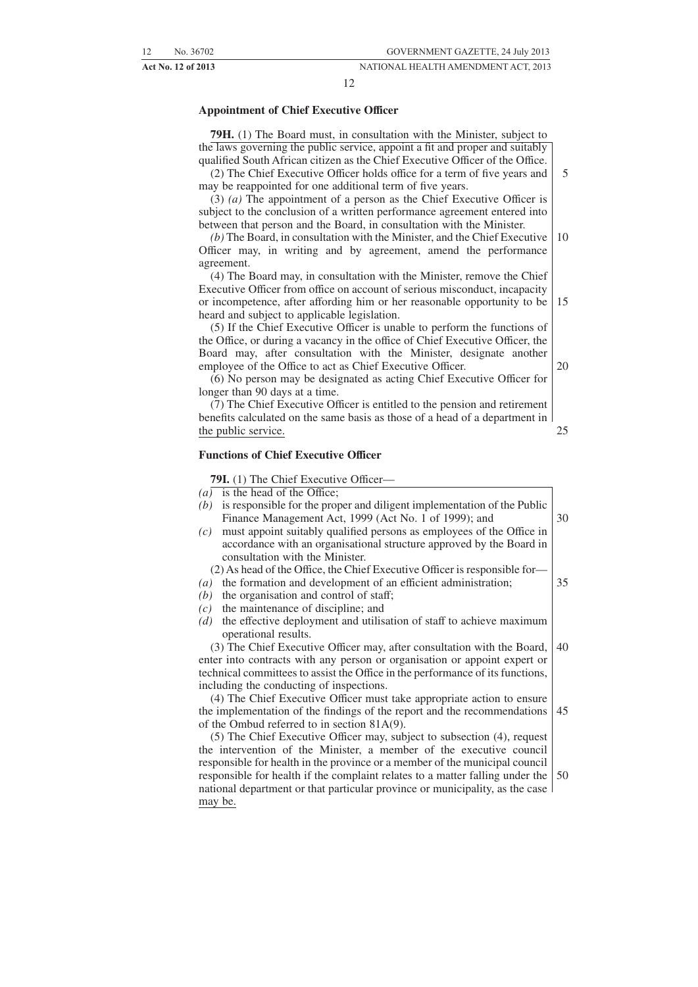12

#### **Appointment of Chief Executive Officer**

**79H.** (1) The Board must, in consultation with the Minister, subject to the laws governing the public service, appoint a fit and proper and suitably qualified South African citizen as the Chief Executive Officer of the Office.

(2) The Chief Executive Officer holds office for a term of five years and may be reappointed for one additional term of five years. 5

(3) *(a)* The appointment of a person as the Chief Executive Officer is subject to the conclusion of a written performance agreement entered into between that person and the Board, in consultation with the Minister.

*(b)* The Board, in consultation with the Minister, and the Chief Executive Officer may, in writing and by agreement, amend the performance agreement. 10

(4) The Board may, in consultation with the Minister, remove the Chief Executive Officer from office on account of serious misconduct, incapacity or incompetence, after affording him or her reasonable opportunity to be heard and subject to applicable legislation. 15

(5) If the Chief Executive Officer is unable to perform the functions of the Office, or during a vacancy in the office of Chief Executive Officer, the Board may, after consultation with the Minister, designate another employee of the Office to act as Chief Executive Officer.

(6) No person may be designated as acting Chief Executive Officer for longer than 90 days at a time.

(7) The Chief Executive Officer is entitled to the pension and retirement benefits calculated on the same basis as those of a head of a department in the public service.

#### **Functions of Chief Executive Officer**

**79I.** (1) The Chief Executive Officer—

 $(a)$  is the head of the Office;

*(b)* is responsible for the proper and diligent implementation of the Public Finance Management Act, 1999 (Act No. 1 of 1999); and *(c)* must appoint suitably qualified persons as employees of the Office in accordance with an organisational structure approved by the Board in consultation with the Minister. (2) As head of the Office, the Chief Executive Officer is responsible for— *(a)* the formation and development of an efficient administration; *(b)* the organisation and control of staff; *(c)* the maintenance of discipline; and *(d)* the effective deployment and utilisation of staff to achieve maximum operational results. (3) The Chief Executive Officer may, after consultation with the Board, enter into contracts with any person or organisation or appoint expert or technical committees to assist the Office in the performance of its functions, including the conducting of inspections. (4) The Chief Executive Officer must take appropriate action to ensure the implementation of the findings of the report and the recommendations of the Ombud referred to in section 81A(9). (5) The Chief Executive Officer may, subject to subsection (4), request 30 35 40 45

the intervention of the Minister, a member of the executive council responsible for health in the province or a member of the municipal council responsible for health if the complaint relates to a matter falling under the national department or that particular province or municipality, as the case may be. 50

20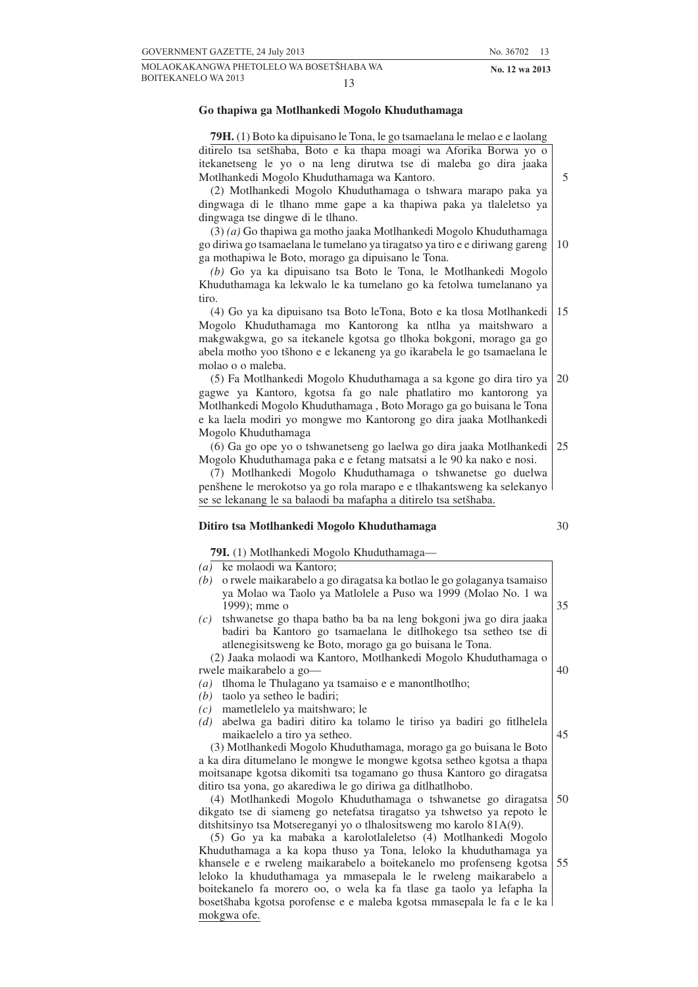**79H.** (1) Boto ka dipuisano le Tona, le go tsamaelana le melao e e laolang ditirelo tsa setšhaba, Boto e ka thapa moagi wa Aforika Borwa yo o itekanetseng le yo o na leng dirutwa tse di maleba go dira jaaka Motlhankedi Mogolo Khuduthamaga wa Kantoro.

(2) Motlhankedi Mogolo Khuduthamaga o tshwara marapo paka ya dingwaga di le tlhano mme gape a ka thapiwa paka ya tlaleletso ya dingwaga tse dingwe di le tlhano.

(3) *(a)* Go thapiwa ga motho jaaka Motlhankedi Mogolo Khuduthamaga go diriwa go tsamaelana le tumelano ya tiragatso ya tiro e e diriwang gareng ga mothapiwa le Boto, morago ga dipuisano le Tona. 10

*(b)* Go ya ka dipuisano tsa Boto le Tona, le Motlhankedi Mogolo Khuduthamaga ka lekwalo le ka tumelano go ka fetolwa tumelanano ya tiro.

(4) Go ya ka dipuisano tsa Boto leTona, Boto e ka tlosa Motlhankedi Mogolo Khuduthamaga mo Kantorong ka ntlha ya maitshwaro a makgwakgwa, go sa itekanele kgotsa go tlhoka bokgoni, morago ga go abela motho yoo tšhono e e lekaneng ya go ikarabela le go tsamaelana le molao o o maleba. 15

(5) Fa Motlhankedi Mogolo Khuduthamaga a sa kgone go dira tiro ya gagwe ya Kantoro, kgotsa fa go nale phatlatiro mo kantorong ya Motlhankedi Mogolo Khuduthamaga , Boto Morago ga go buisana le Tona e ka laela modiri yo mongwe mo Kantorong go dira jaaka Motlhankedi Mogolo Khuduthamaga 20

(6) Ga go ope yo o tshwanetseng go laelwa go dira jaaka Motlhankedi Mogolo Khuduthamaga paka e e fetang matsatsi a le 90 ka nako e nosi. 25

(7) Motlhankedi Mogolo Khuduthamaga o tshwanetse go duelwa penšhene le merokotso ya go rola marapo e e tlhakantsweng ka selekanyo se se lekanang le sa balaodi ba mafapha a ditirelo tsa setšhaba.

#### **Ditiro tsa Motlhankedi Mogolo Khuduthamaga**

**79I.** (1) Motlhankedi Mogolo Khuduthamaga—

*(a)* ke molaodi wa Kantoro;

- *(b)* o rwele maikarabelo a go diragatsa ka botlao le go golaganya tsamaiso ya Molao wa Taolo ya Matlolele a Puso wa 1999 (Molao No. 1 wa 1999); mme o
- *(c)* tshwanetse go thapa batho ba ba na leng bokgoni jwa go dira jaaka badiri ba Kantoro go tsamaelana le ditlhokego tsa setheo tse di atlenegisitsweng ke Boto, morago ga go buisana le Tona.

(2) Jaaka molaodi wa Kantoro, Motlhankedi Mogolo Khuduthamaga o rwele maikarabelo a go—

- *(a)* tlhoma le Thulagano ya tsamaiso e e manontlhotlho;
- *(b)* taolo ya setheo le badiri;
- *(c)* mametlelelo ya maitshwaro; le
- *(d)* abelwa ga badiri ditiro ka tolamo le tiriso ya badiri go fitlhelela maikaelelo a tiro ya setheo.

(3) Motlhankedi Mogolo Khuduthamaga, morago ga go buisana le Boto a ka dira ditumelano le mongwe le mongwe kgotsa setheo kgotsa a thapa moitsanape kgotsa dikomiti tsa togamano go thusa Kantoro go diragatsa ditiro tsa yona, go akarediwa le go diriwa ga ditlhatlhobo.

(4) Motlhankedi Mogolo Khuduthamaga o tshwanetse go diragatsa dikgato tse di siameng go netefatsa tiragatso ya tshwetso ya repoto le ditshitsinyo tsa Motsereganyi yo o tlhalositsweng mo karolo 81A(9). 50

(5) Go ya ka mabaka a karolotlaleletso (4) Motlhankedi Mogolo Khuduthamaga a ka kopa thuso ya Tona, leloko la khuduthamaga ya khansele e e rweleng maikarabelo a boitekanelo mo profenseng kgotsa leloko la khuduthamaga ya mmasepala le le rweleng maikarabelo a boitekanelo fa morero oo, o wela ka fa tlase ga taolo ya lefapha la bosetšhaba kgotsa porofense e e maleba kgotsa mmasepala le fa e le ka mokgwa ofe. 55

5

30

35

- 
- 45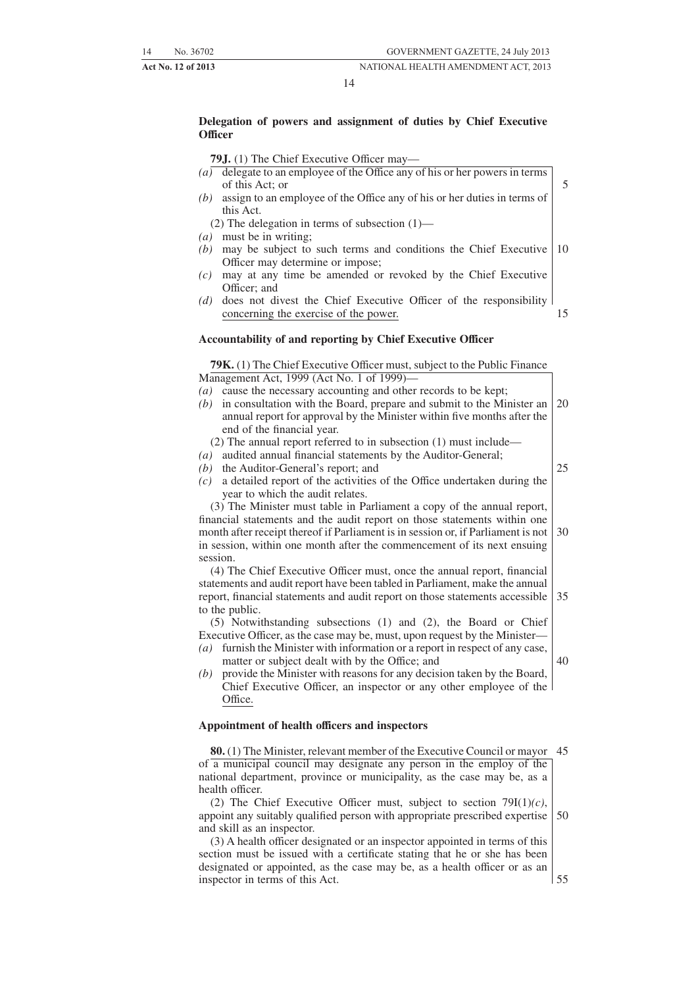#### 14

#### **Delegation of powers and assignment of duties by Chief Executive Officer**

#### **79J.** (1) The Chief Executive Officer may—

- *(a)* delegate to an employee of the Office any of his or her powers in terms of this Act; or *(b)* assign to an employee of the Office any of his or her duties in terms of this Act. 5
- (2) The delegation in terms of subsection (1)—
- *(a)* must be in writing;
- *(b)* may be subject to such terms and conditions the Chief Executive Officer may determine or impose; 10
- *(c)* may at any time be amended or revoked by the Chief Executive Officer; and
- *(d)* does not divest the Chief Executive Officer of the responsibility concerning the exercise of the power. 15

#### **Accountability of and reporting by Chief Executive Officer**

**79K.** (1) The Chief Executive Officer must, subject to the Public Finance Management Act, 1999 (Act No. 1 of 1999)— *(a)* cause the necessary accounting and other records to be kept;

- *(b)* in consultation with the Board, prepare and submit to the Minister an annual report for approval by the Minister within five months after the end of the financial year. 20
	- (2) The annual report referred to in subsection (1) must include—
- *(a)* audited annual financial statements by the Auditor-General;
- *(b)* the Auditor-General's report; and
- *(c)* a detailed report of the activities of the Office undertaken during the year to which the audit relates.

(3) The Minister must table in Parliament a copy of the annual report, financial statements and the audit report on those statements within one month after receipt thereof if Parliament is in session or, if Parliament is not in session, within one month after the commencement of its next ensuing session. 30

(4) The Chief Executive Officer must, once the annual report, financial statements and audit report have been tabled in Parliament, make the annual report, financial statements and audit report on those statements accessible to the public. 35

(5) Notwithstanding subsections (1) and (2), the Board or Chief Executive Officer, as the case may be, must, upon request by the Minister—

- *(a)* furnish the Minister with information or a report in respect of any case, matter or subject dealt with by the Office; and
- *(b)* provide the Minister with reasons for any decision taken by the Board, Chief Executive Officer, an inspector or any other employee of the Office.

#### **Appointment of health officers and inspectors**

**80.** (1) The Minister, relevant member of the Executive Council or mayor 45 of a municipal council may designate any person in the employ of the national department, province or municipality, as the case may be, as a health officer.

(2) The Chief Executive Officer must, subject to section 79I(1)*(c)*, appoint any suitably qualified person with appropriate prescribed expertise and skill as an inspector. 50

(3) A health officer designated or an inspector appointed in terms of this section must be issued with a certificate stating that he or she has been designated or appointed, as the case may be, as a health officer or as an inspector in terms of this Act.

55

25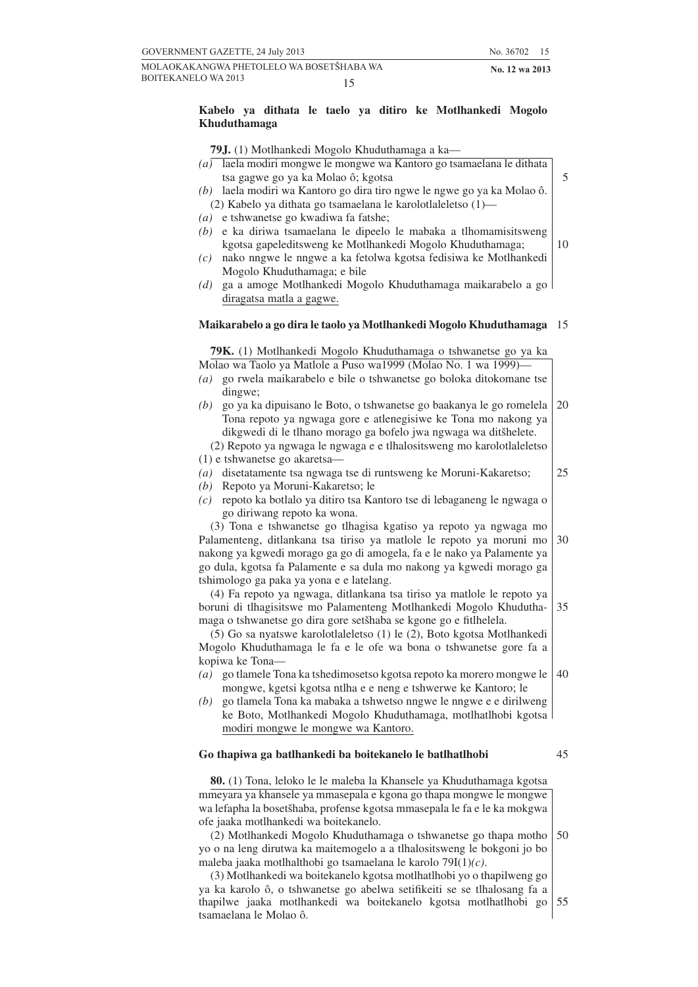5

#### **Kabelo ya dithata le taelo ya ditiro ke Motlhankedi Mogolo Khuduthamaga**

**79J.** (1) Motlhankedi Mogolo Khuduthamaga a ka—

- *(a)* laela modiri mongwe le mongwe wa Kantoro go tsamaelana le dithata tsa gagwe go ya ka Molao ô; kgotsa
- *(b)* laela modiri wa Kantoro go dira tiro ngwe le ngwe go ya ka Molao ô. (2) Kabelo ya dithata go tsamaelana le karolotlaleletso (1)—
- *(a)* e tshwanetse go kwadiwa fa fatshe;
- *(b)* e ka diriwa tsamaelana le dipeelo le mabaka a tlhomamisitsweng kgotsa gapeleditsweng ke Motlhankedi Mogolo Khuduthamaga; 10
- *(c)* nako nngwe le nngwe a ka fetolwa kgotsa fedisiwa ke Motlhankedi Mogolo Khuduthamaga; e bile
- *(d)* ga a amoge Motlhankedi Mogolo Khuduthamaga maikarabelo a go diragatsa matla a gagwe.

#### **Maikarabelo a go dira le taolo ya Motlhankedi Mogolo Khuduthamaga** 15

**79K.** (1) Motlhankedi Mogolo Khuduthamaga o tshwanetse go ya ka

| Molao wa Taolo ya Matlole a Puso wa1999 (Molao No. 1 wa 1999)-                                                                     |    |
|------------------------------------------------------------------------------------------------------------------------------------|----|
| (a) go rwela maikarabelo e bile o tshwanetse go boloka ditokomane tse                                                              |    |
| dingwe:                                                                                                                            |    |
| go ya ka dipuisano le Boto, o tshwanetse go baakanya le go romelela<br>(b)                                                         | 20 |
| Tona repoto ya ngwaga gore e atlenegisiwe ke Tona mo nakong ya<br>dikgwedi di le tlhano morago ga bofelo jwa ngwaga wa ditšhelete. |    |
| (2) Repoto ya ngwaga le ngwaga e e tlhalositsweng mo karolotlaleletso                                                              |    |
| (1) e tshwanetse go akaretsa-                                                                                                      |    |
| disetatamente tsa ngwaga tse di runtsweng ke Moruni-Kakaretso;                                                                     | 25 |
| $\left(a\right)$                                                                                                                   |    |
| Repoto ya Moruni-Kakaretso; le<br>(b)                                                                                              |    |
| repoto ka botlalo ya ditiro tsa Kantoro tse di lebaganeng le ngwaga o<br>(c)                                                       |    |
| go diriwang repoto ka wona.                                                                                                        |    |
| (3) Tona e tshwanetse go tlhagisa kgatiso ya repoto ya ngwaga mo                                                                   |    |
| Palamenteng, ditlankana tsa tiriso ya matlole le repoto ya moruni mo                                                               | 30 |
| nakong ya kgwedi morago ga go di amogela, fa e le nako ya Palamente ya                                                             |    |
| go dula, kgotsa fa Palamente e sa dula mo nakong ya kgwedi morago ga                                                               |    |
| tshimologo ga paka ya yona e e latelang.                                                                                           |    |
| (4) Fa repoto ya ngwaga, ditlankana tsa tiriso ya matlole le repoto ya                                                             |    |
| boruni di tlhagisitswe mo Palamenteng Motlhankedi Mogolo Khudutha-                                                                 | 35 |
| maga o tshwanetse go dira gore setšhaba se kgone go e fitlhelela.                                                                  |    |
| (5) Go sa nyatswe karolotlaleletso (1) le (2), Boto kgotsa Motlhankedi                                                             |    |
| Mogolo Khuduthamaga le fa e le ofe wa bona o tshwanetse gore fa a                                                                  |    |
| kopiwa ke Tona-                                                                                                                    |    |
| go tlamele Tona ka tshedimosetso kgotsa repoto ka morero mongwe le<br>$\left(a\right)$                                             | 40 |
| mongwe, kgetsi kgotsa ntlha e e neng e tshwerwe ke Kantoro; le                                                                     |    |
| go tlamela Tona ka mabaka a tshwetso nngwe le nngwe e e dirilweng<br>(b)                                                           |    |
| ke Boto, Motlhankedi Mogolo Khuduthamaga, motlhatlhobi kgotsa l                                                                    |    |
| modiri mongwe le mongwe wa Kantoro.                                                                                                |    |

#### **Go thapiwa ga batlhankedi ba boitekanelo le batlhatlhobi**

45

**80.** (1) Tona, leloko le le maleba la Khansele ya Khuduthamaga kgotsa mmeyara ya khansele ya mmasepala e kgona go thapa mongwe le mongwe wa lefapha la bosetšhaba, profense kgotsa mmasepala le fa e le ka mokgwa ofe jaaka motlhankedi wa boitekanelo.

(2) Motlhankedi Mogolo Khuduthamaga o tshwanetse go thapa motho yo o na leng dirutwa ka maitemogelo a a tlhalositsweng le bokgoni jo bo maleba jaaka motlhalthobi go tsamaelana le karolo 79I(1)*(c)*. 50

(3) Motlhankedi wa boitekanelo kgotsa motlhatlhobi yo o thapilweng go ya ka karolo ô, o tshwanetse go abelwa setifikeiti se se tlhalosang fa a thapilwe jaaka motlhankedi wa boitekanelo kgotsa motlhatlhobi go tsamaelana le Molao ô. 55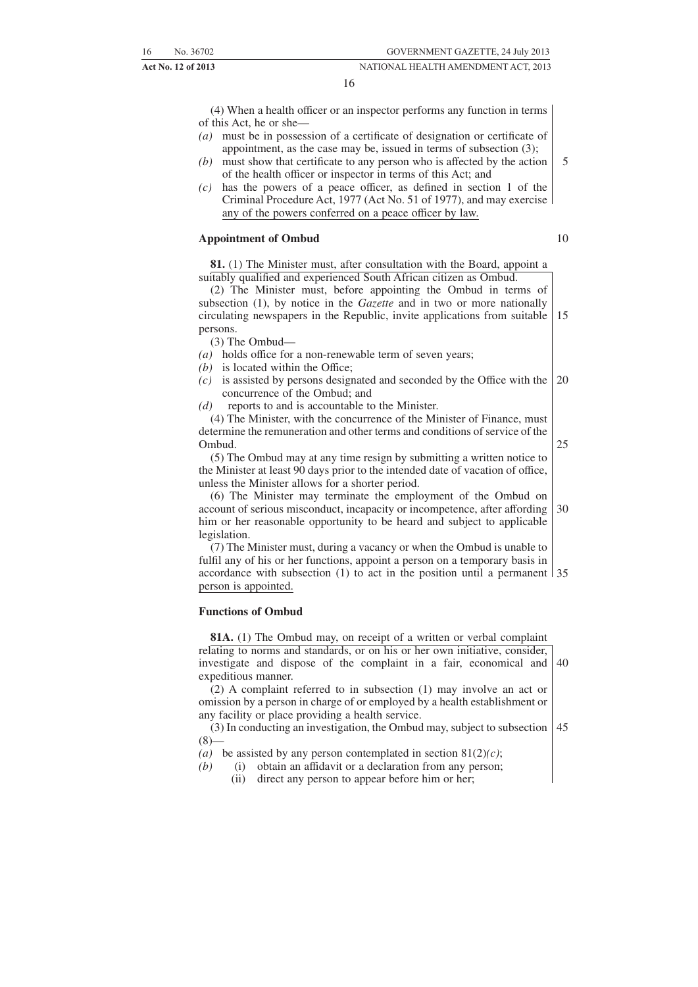16

(4) When a health officer or an inspector performs any function in terms of this Act, he or she—

- *(a)* must be in possession of a certificate of designation or certificate of appointment, as the case may be, issued in terms of subsection (3);
- *(b)* must show that certificate to any person who is affected by the action of the health officer or inspector in terms of this Act; and
- *(c)* has the powers of a peace officer, as defined in section 1 of the Criminal Procedure Act, 1977 (Act No. 51 of 1977), and may exercise any of the powers conferred on a peace officer by law.

#### **Appointment of Ombud**

**81.** (1) The Minister must, after consultation with the Board, appoint a suitably qualified and experienced South African citizen as Ombud.

(2) The Minister must, before appointing the Ombud in terms of subsection (1), by notice in the *Gazette* and in two or more nationally circulating newspapers in the Republic, invite applications from suitable persons. 15

(3) The Ombud—

- *(a)* holds office for a non-renewable term of seven years;
- *(b)* is located within the Office:
- *(c)* is assisted by persons designated and seconded by the Office with the concurrence of the Ombud; and 20
- *(d)* reports to and is accountable to the Minister.

(4) The Minister, with the concurrence of the Minister of Finance, must determine the remuneration and other terms and conditions of service of the Ombud.

(5) The Ombud may at any time resign by submitting a written notice to the Minister at least 90 days prior to the intended date of vacation of office, unless the Minister allows for a shorter period.

(6) The Minister may terminate the employment of the Ombud on account of serious misconduct, incapacity or incompetence, after affording him or her reasonable opportunity to be heard and subject to applicable legislation. 30

(7) The Minister must, during a vacancy or when the Ombud is unable to fulfil any of his or her functions, appoint a person on a temporary basis in accordance with subsection (1) to act in the position until a permanent 35 person is appointed.

#### **Functions of Ombud**

**81A.** (1) The Ombud may, on receipt of a written or verbal complaint relating to norms and standards, or on his or her own initiative, consider, investigate and dispose of the complaint in a fair, economical and expeditious manner. 40

(2) A complaint referred to in subsection (1) may involve an act or omission by a person in charge of or employed by a health establishment or any facility or place providing a health service.

(3) In conducting an investigation, the Ombud may, subject to subsection  $(8)$ 45

- (a) be assisted by any person contemplated in section  $81(2)(c)$ ;
- *(b)* (i) obtain an affidavit or a declaration from any person;
	- (ii) direct any person to appear before him or her;

10

25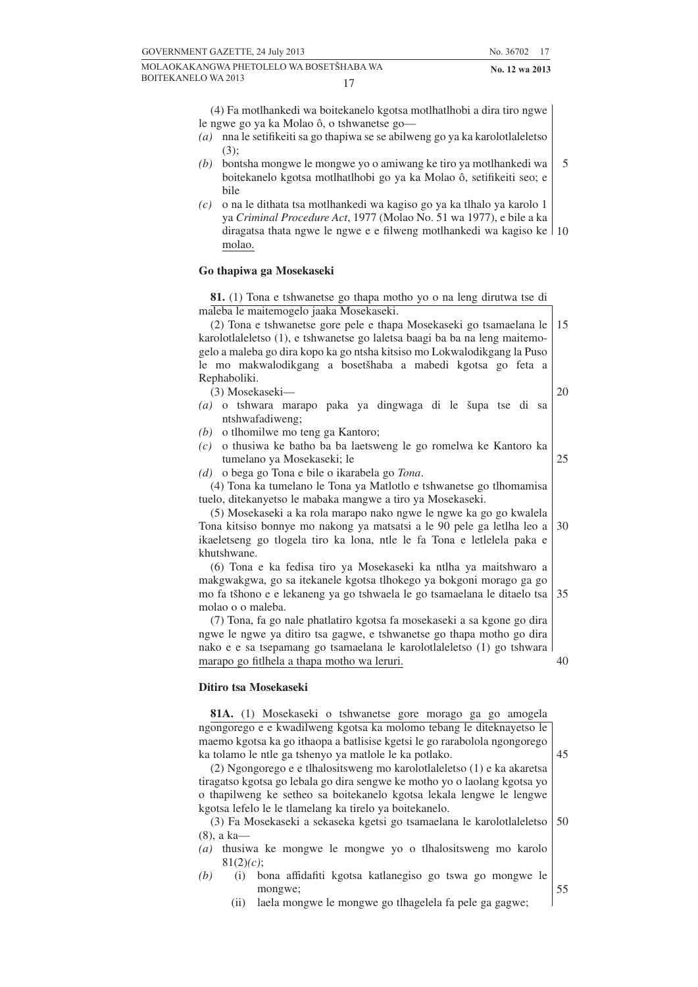(4) Fa motlhankedi wa boitekanelo kgotsa motlhatlhobi a dira tiro ngwe le ngwe go ya ka Molao ô, o tshwanetse go—

- *(a)* nna le setifikeiti sa go thapiwa se se abilweng go ya ka karolotlaleletso  $(3)$ :
- *(b)* bontsha mongwe le mongwe yo o amiwang ke tiro ya motlhankedi wa boitekanelo kgotsa motlhatlhobi go ya ka Molao ô, setifikeiti seo; e bile
- *(c)* o na le dithata tsa motlhankedi wa kagiso go ya ka tlhalo ya karolo 1 ya *Criminal Procedure Act*, 1977 (Molao No. 51 wa 1977), e bile a ka diragatsa thata ngwe le ngwe e e filweng motlhankedi wa kagiso ke 10 molao.

#### **Go thapiwa ga Mosekaseki**

**81.** (1) Tona e tshwanetse go thapa motho yo o na leng dirutwa tse di maleba le maitemogelo jaaka Mosekaseki.

(2) Tona e tshwanetse gore pele e thapa Mosekaseki go tsamaelana le karolotlaleletso (1), e tshwanetse go laletsa baagi ba ba na leng maitemogelo a maleba go dira kopo ka go ntsha kitsiso mo Lokwalodikgang la Puso le mo makwalodikgang a bosetšhaba a mabedi kgotsa go feta a Rephaboliki. 15

(3) Mosekaseki—

- 20
- (a) o tshwara marapo paka ya dingwaga di le šupa tse di sa ntshwafadiweng;
- *(b)* o tlhomilwe mo teng ga Kantoro;
- *(c)* o thusiwa ke batho ba ba laetsweng le go romelwa ke Kantoro ka tumelano ya Mosekaseki; le
	- 25

*(d)* o bega go Tona e bile o ikarabela go *Tona*.

(4) Tona ka tumelano le Tona ya Matlotlo e tshwanetse go tlhomamisa tuelo, ditekanyetso le mabaka mangwe a tiro ya Mosekaseki.

(5) Mosekaseki a ka rola marapo nako ngwe le ngwe ka go go kwalela Tona kitsiso bonnye mo nakong ya matsatsi a le 90 pele ga letlha leo a ikaeletseng go tlogela tiro ka lona, ntle le fa Tona e letlelela paka e khutshwane. 30

(6) Tona e ka fedisa tiro ya Mosekaseki ka ntlha ya maitshwaro a makgwakgwa, go sa itekanele kgotsa tlhokego ya bokgoni morago ga go mo fa tšhono e e lekaneng ya go tshwaela le go tsamaelana le ditaelo tsa molao o o maleba. 35

(7) Tona, fa go nale phatlatiro kgotsa fa mosekaseki a sa kgone go dira ngwe le ngwe ya ditiro tsa gagwe, e tshwanetse go thapa motho go dira nako e e sa tsepamang go tsamaelana le karolotlaleletso (1) go tshwara marapo go fitlhela a thapa motho wa leruri. 40

#### **Ditiro tsa Mosekaseki**

**81A.** (1) Mosekaseki o tshwanetse gore morago ga go amogela ngongorego e e kwadilweng kgotsa ka molomo tebang le diteknayetso le maemo kgotsa ka go ithaopa a batlisise kgetsi le go rarabolola ngongorego ka tolamo le ntle ga tshenyo ya matlole le ka potlako.

45

55

(2) Ngongorego e e tlhalositsweng mo karolotlaleletso (1) e ka akaretsa tiragatso kgotsa go lebala go dira sengwe ke motho yo o laolang kgotsa yo o thapilweng ke setheo sa boitekanelo kgotsa lekala lengwe le lengwe kgotsa lefelo le le tlamelang ka tirelo ya boitekanelo.

(3) Fa Mosekaseki a sekaseka kgetsi go tsamaelana le karolotlaleletso (8), a ka— 50

*(a)* thusiwa ke mongwe le mongwe yo o tlhalositsweng mo karolo 81(2)*(c)*;

- *(b)* (i) bona affidafiti kgotsa katlanegiso go tswa go mongwe le mongwe;
	- (ii) laela mongwe le mongwe go tlhagelela fa pele ga gagwe;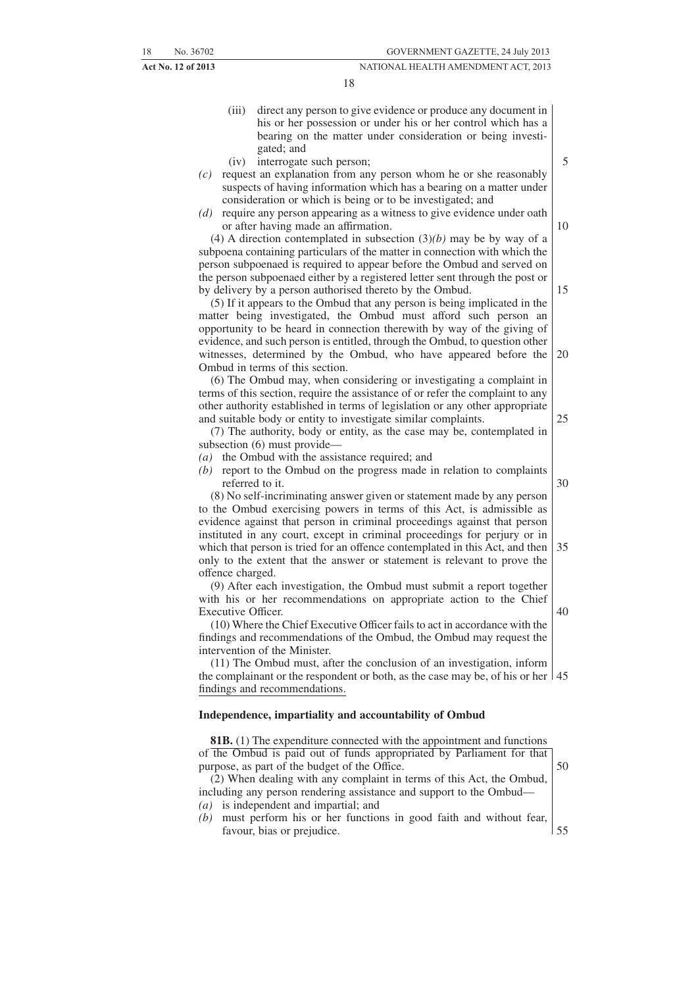- (iii) direct any person to give evidence or produce any document in his or her possession or under his or her control which has a bearing on the matter under consideration or being investigated; and
- (iv) interrogate such person;
- *(c)* request an explanation from any person whom he or she reasonably suspects of having information which has a bearing on a matter under consideration or which is being or to be investigated; and
- *(d)* require any person appearing as a witness to give evidence under oath or after having made an affirmation.

(4) A direction contemplated in subsection (3)*(b)* may be by way of a subpoena containing particulars of the matter in connection with which the person subpoenaed is required to appear before the Ombud and served on the person subpoenaed either by a registered letter sent through the post or by delivery by a person authorised thereto by the Ombud.

(5) If it appears to the Ombud that any person is being implicated in the matter being investigated, the Ombud must afford such person an opportunity to be heard in connection therewith by way of the giving of evidence, and such person is entitled, through the Ombud, to question other witnesses, determined by the Ombud, who have appeared before the Ombud in terms of this section. 20

(6) The Ombud may, when considering or investigating a complaint in terms of this section, require the assistance of or refer the complaint to any other authority established in terms of legislation or any other appropriate and suitable body or entity to investigate similar complaints.

(7) The authority, body or entity, as the case may be, contemplated in subsection (6) must provide—

- *(a)* the Ombud with the assistance required; and
- *(b)* report to the Ombud on the progress made in relation to complaints referred to it.

(8) No self-incriminating answer given or statement made by any person to the Ombud exercising powers in terms of this Act, is admissible as evidence against that person in criminal proceedings against that person instituted in any court, except in criminal proceedings for perjury or in which that person is tried for an offence contemplated in this Act, and then only to the extent that the answer or statement is relevant to prove the offence charged. 35

(9) After each investigation, the Ombud must submit a report together with his or her recommendations on appropriate action to the Chief Executive Officer.

(10) Where the Chief Executive Officer fails to act in accordance with the findings and recommendations of the Ombud, the Ombud may request the intervention of the Minister.

(11) The Ombud must, after the conclusion of an investigation, inform the complainant or the respondent or both, as the case may be, of his or her 45 findings and recommendations.

#### **Independence, impartiality and accountability of Ombud**

**81B.** (1) The expenditure connected with the appointment and functions of the Ombud is paid out of funds appropriated by Parliament for that purpose, as part of the budget of the Office. (2) When dealing with any complaint in terms of this Act, the Ombud, including any person rendering assistance and support to the Ombud— *(a)* is independent and impartial; and *(b)* must perform his or her functions in good faith and without fear, favour, bias or prejudice. 50 55

30

40

25

15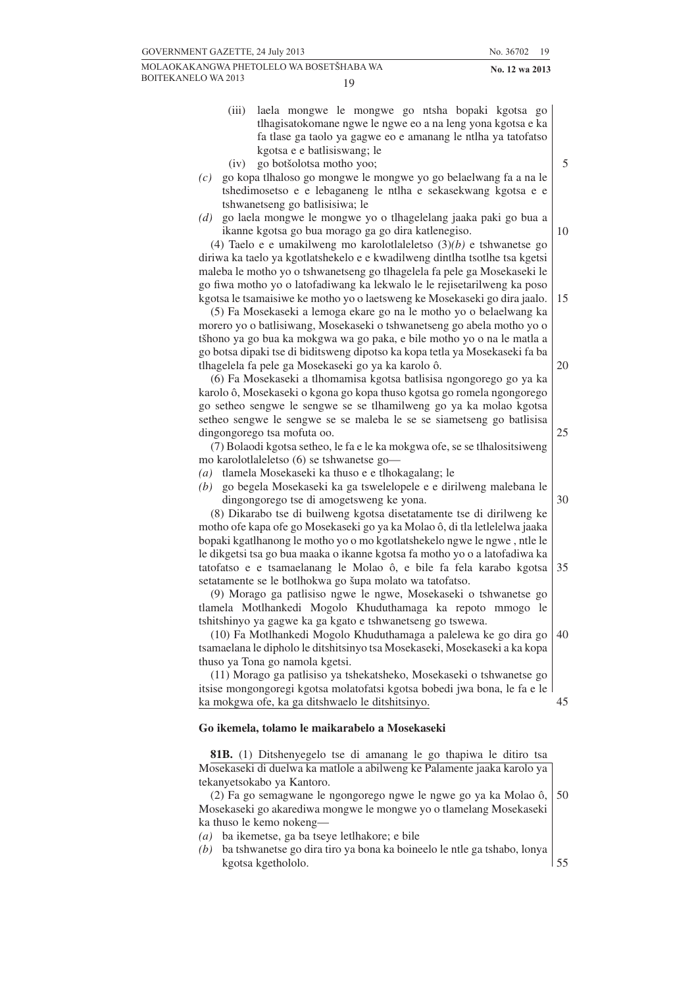19

- 
- (iii) laela mongwe le mongwe go ntsha bopaki kgotsa go tlhagisatokomane ngwe le ngwe eo a na leng yona kgotsa e ka fa tlase ga taolo ya gagwe eo e amanang le ntlha ya tatofatso kgotsa e e batlisiswang; le
- (iv) go botšolotsa motho yoo;
- *(c)* go kopa tlhaloso go mongwe le mongwe yo go belaelwang fa a na le tshedimosetso e e lebaganeng le ntlha e sekasekwang kgotsa e e tshwanetseng go batlisisiwa; le
- *(d)* go laela mongwe le mongwe yo o tlhagelelang jaaka paki go bua a ikanne kgotsa go bua morago ga go dira katlenegiso.

(4) Taelo e e umakilweng mo karolotlaleletso (3)*(b)* e tshwanetse go diriwa ka taelo ya kgotlatshekelo e e kwadilweng dintlha tsotlhe tsa kgetsi maleba le motho yo o tshwanetseng go tlhagelela fa pele ga Mosekaseki le go fiwa motho yo o latofadiwang ka lekwalo le le rejisetarilweng ka poso kgotsa le tsamaisiwe ke motho yo o laetsweng ke Mosekaseki go dira jaalo.

(5) Fa Mosekaseki a lemoga ekare go na le motho yo o belaelwang ka morero yo o batlisiwang, Mosekaseki o tshwanetseng go abela motho yo o tšhono ya go bua ka mokgwa wa go paka, e bile motho yo o na le matla a go botsa dipaki tse di biditsweng dipotso ka kopa tetla ya Mosekaseki fa ba tlhagelela fa pele ga Mosekaseki go ya ka karolo ô.

(6) Fa Mosekaseki a tlhomamisa kgotsa batlisisa ngongorego go ya ka karolo ô, Mosekaseki o kgona go kopa thuso kgotsa go romela ngongorego go setheo sengwe le sengwe se se tlhamilweng go ya ka molao kgotsa setheo sengwe le sengwe se se maleba le se se siametseng go batlisisa dingongorego tsa mofuta oo.

(7) Bolaodi kgotsa setheo, le fa e le ka mokgwa ofe, se se tlhalositsiweng mo karolotlaleletso (6) se tshwanetse go—

*(a)* tlamela Mosekaseki ka thuso e e tlhokagalang; le

*(b)* go begela Mosekaseki ka ga tswelelopele e e dirilweng malebana le dingongorego tse di amogetsweng ke yona.

(8) Dikarabo tse di builweng kgotsa disetatamente tse di dirilweng ke motho ofe kapa ofe go Mosekaseki go ya ka Molao ô, di tla letlelelwa jaaka bopaki kgatlhanong le motho yo o mo kgotlatshekelo ngwe le ngwe , ntle le le dikgetsi tsa go bua maaka o ikanne kgotsa fa motho yo o a latofadiwa ka tatofatso e e tsamaelanang le Molao ô, e bile fa fela karabo kgotsa setatamente se le botlhokwa go šupa molato wa tatofatso. 35

(9) Morago ga patlisiso ngwe le ngwe, Mosekaseki o tshwanetse go tlamela Motlhankedi Mogolo Khuduthamaga ka repoto mmogo le tshitshinyo ya gagwe ka ga kgato e tshwanetseng go tswewa.

(10) Fa Motlhankedi Mogolo Khuduthamaga a palelewa ke go dira go tsamaelana le dipholo le ditshitsinyo tsa Mosekaseki, Mosekaseki a ka kopa thuso ya Tona go namola kgetsi. 40

(11) Morago ga patlisiso ya tshekatsheko, Mosekaseki o tshwanetse go itsise mongongoregi kgotsa molatofatsi kgotsa bobedi jwa bona, le fa e le ka mokgwa ofe, ka ga ditshwaelo le ditshitsinyo. 45

#### **Go ikemela, tolamo le maikarabelo a Mosekaseki**

**81B.** (1) Ditshenyegelo tse di amanang le go thapiwa le ditiro tsa Mosekaseki di duelwa ka matlole a abilweng ke Palamente jaaka karolo ya tekanyetsokabo ya Kantoro.

(2) Fa go semagwane le ngongorego ngwe le ngwe go ya ka Molao ô, Mosekaseki go akarediwa mongwe le mongwe yo o tlamelang Mosekaseki ka thuso le kemo nokeng— 50

- *(a)* ba ikemetse, ga ba tseye letlhakore; e bile
- *(b)* ba tshwanetse go dira tiro ya bona ka boineelo le ntle ga tshabo, lonya kgotsa kgethololo. 55

10

15

20

5

25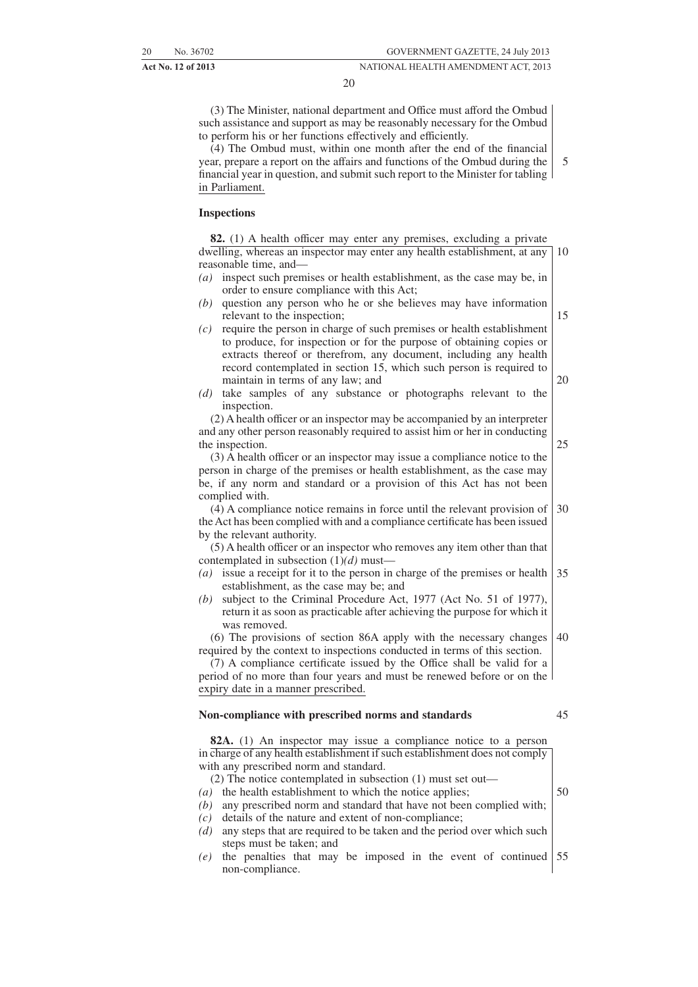20

(3) The Minister, national department and Office must afford the Ombud such assistance and support as may be reasonably necessary for the Ombud to perform his or her functions effectively and efficiently.

(4) The Ombud must, within one month after the end of the financial year, prepare a report on the affairs and functions of the Ombud during the financial year in question, and submit such report to the Minister for tabling in Parliament. 5

#### **Inspections**

**82.** (1) A health officer may enter any premises, excluding a private dwelling, whereas an inspector may enter any health establishment, at any reasonable time, and— *(a)* inspect such premises or health establishment, as the case may be, in order to ensure compliance with this Act; *(b)* question any person who he or she believes may have information relevant to the inspection; 10 15

- *(c)* require the person in charge of such premises or health establishment to produce, for inspection or for the purpose of obtaining copies or extracts thereof or therefrom, any document, including any health record contemplated in section 15, which such person is required to maintain in terms of any law; and
- *(d)* take samples of any substance or photographs relevant to the inspection.

(2) A health officer or an inspector may be accompanied by an interpreter and any other person reasonably required to assist him or her in conducting the inspection.

(3) A health officer or an inspector may issue a compliance notice to the person in charge of the premises or health establishment, as the case may be, if any norm and standard or a provision of this Act has not been complied with.

(4) A compliance notice remains in force until the relevant provision of the Act has been complied with and a compliance certificate has been issued by the relevant authority. 30

(5) A health officer or an inspector who removes any item other than that contemplated in subsection (1)*(d)* must—

- *(a)* issue a receipt for it to the person in charge of the premises or health establishment, as the case may be; and 35
- *(b)* subject to the Criminal Procedure Act, 1977 (Act No. 51 of 1977), return it as soon as practicable after achieving the purpose for which it was removed.

(6) The provisions of section 86A apply with the necessary changes required by the context to inspections conducted in terms of this section. 40

(7) A compliance certificate issued by the Office shall be valid for a period of no more than four years and must be renewed before or on the expiry date in a manner prescribed.

#### **Non-compliance with prescribed norms and standards**

45

**82A.** (1) An inspector may issue a compliance notice to a person in charge of any health establishment if such establishment does not comply with any prescribed norm and standard.

- (2) The notice contemplated in subsection (1) must set out—
- *(a)* the health establishment to which the notice applies;
- *(b)* any prescribed norm and standard that have not been complied with;
- *(c)* details of the nature and extent of non-compliance; *(d)* any steps that are required to be taken and the period over which such steps must be taken; and
- *(e)* the penalties that may be imposed in the event of continued non-compliance. 55

50

20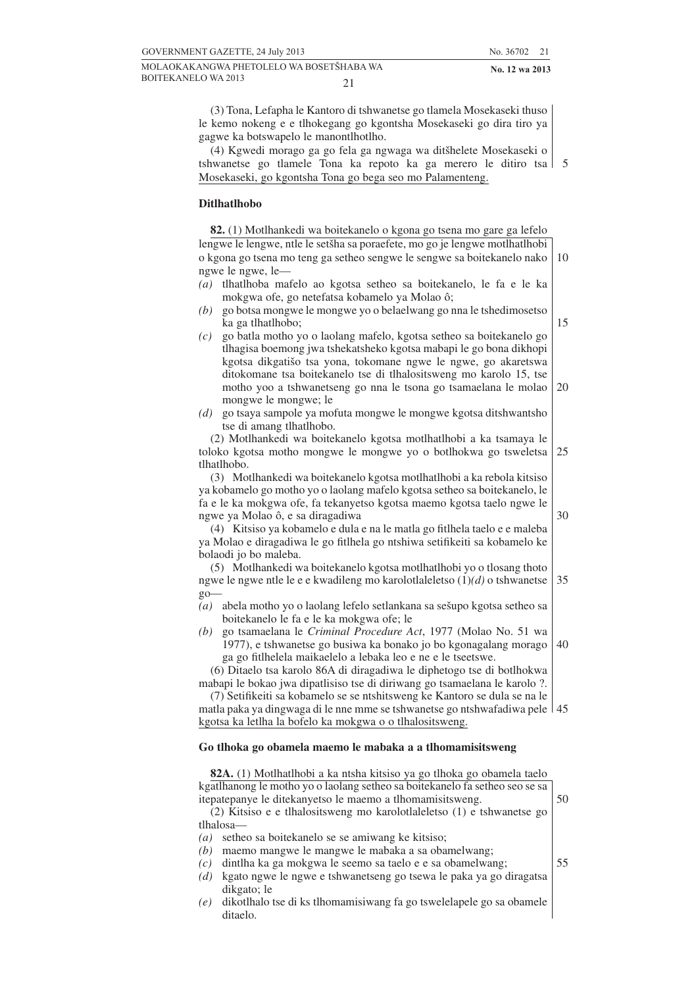(3) Tona, Lefapha le Kantoro di tshwanetse go tlamela Mosekaseki thuso le kemo nokeng e e tlhokegang go kgontsha Mosekaseki go dira tiro ya gagwe ka botswapelo le manontlhotlho.

(4) Kgwedi morago ga go fela ga ngwaga wa ditšhelete Mosekaseki o tshwanetse go tlamele Tona ka repoto ka ga merero le ditiro tsa 5 Mosekaseki, go kgontsha Tona go bega seo mo Palamenteng.

#### **Ditlhatlhobo**

| 82. (1) Motlhankedi wa boitekanelo o kgona go tsena mo gare ga lefelo                                                                                                                                                                                                                    |    |
|------------------------------------------------------------------------------------------------------------------------------------------------------------------------------------------------------------------------------------------------------------------------------------------|----|
| lengwe le lengwe, ntle le setšha sa poraefete, mo go je lengwe motlhatlhobi                                                                                                                                                                                                              |    |
| o kgona go tsena mo teng ga setheo sengwe le sengwe sa boitekanelo nako                                                                                                                                                                                                                  | 10 |
| ngwe le ngwe, le-                                                                                                                                                                                                                                                                        |    |
| tlhatlhoba mafelo ao kgotsa setheo sa boitekanelo, le fa e le ka<br>(a)<br>mokgwa ofe, go netefatsa kobamelo ya Molao ô;                                                                                                                                                                 |    |
| go botsa mongwe le mongwe yo o belaelwang go nna le tshedimosetso<br>(b)<br>ka ga tlhatlhobo;                                                                                                                                                                                            | 15 |
| go batla motho yo o laolang mafelo, kgotsa setheo sa boitekanelo go<br>(c)<br>tlhagisa boemong jwa tshekatsheko kgotsa mabapi le go bona dikhopi<br>kgotsa dikgatišo tsa yona, tokomane ngwe le ngwe, go akaretswa<br>ditokomane tsa boitekanelo tse di tlhalositsweng mo karolo 15, tse |    |
| motho yoo a tshwanetseng go nna le tsona go tsamaelana le molao<br>mongwe le mongwe; le                                                                                                                                                                                                  | 20 |
| go tsaya sampole ya mofuta mongwe le mongwe kgotsa ditshwantsho<br>(d)<br>tse di amang tlhatlhobo.                                                                                                                                                                                       |    |
| (2) Motlhankedi wa boitekanelo kgotsa motlhatlhobi a ka tsamaya le<br>toloko kgotsa motho mongwe le mongwe yo o botlhokwa go tsweletsa                                                                                                                                                   | 25 |
| tlhatlhobo.                                                                                                                                                                                                                                                                              |    |
| (3) Motlhankedi wa boitekanelo kgotsa motlhatlhobi a ka rebola kitsiso<br>ya kobamelo go motho yo o laolang mafelo kgotsa setheo sa boitekanelo, le                                                                                                                                      |    |
| fa e le ka mokgwa ofe, fa tekanyetso kgotsa maemo kgotsa taelo ngwe le                                                                                                                                                                                                                   | 30 |
| ngwe ya Molao ô, e sa diragadiwa<br>(4) Kitsiso ya kobamelo e dula e na le matla go fitlhela taelo e e maleba                                                                                                                                                                            |    |
| ya Molao e diragadiwa le go fitlhela go ntshiwa setifikeiti sa kobamelo ke<br>bolaodi jo bo maleba.                                                                                                                                                                                      |    |
| (5) Motlhankedi wa boitekanelo kgotsa motlhatlhobi yo o tlosang thoto                                                                                                                                                                                                                    |    |
| ngwe le ngwe ntle le e e kwadileng mo karolotlaleletso $(1)(d)$ o tshwanetse<br>$go-$                                                                                                                                                                                                    | 35 |
| abela motho yo o laolang lefelo setlankana sa sešupo kgotsa setheo sa<br>(a)<br>boitekanelo le fa e le ka mokgwa ofe; le                                                                                                                                                                 |    |
| go tsamaelana le Criminal Procedure Act, 1977 (Molao No. 51 wa<br>(b)<br>1977), e tshwanetse go busiwa ka bonako jo bo kgonagalang morago<br>ga go fitlhelela maikaelelo a lebaka leo e ne e le tseetswe.                                                                                | 40 |
| (6) Ditaelo tsa karolo 86A di diragadiwa le diphetogo tse di botlhokwa                                                                                                                                                                                                                   |    |
| mabapi le bokao jwa dipatlisiso tse di diriwang go tsamaelana le karolo ?.                                                                                                                                                                                                               |    |
| (7) Setifikeiti sa kobamelo se se ntshitsweng ke Kantoro se dula se na le                                                                                                                                                                                                                |    |
| matla paka ya dingwaga di le nne mme se tshwanetse go ntshwafadiwa pele   45                                                                                                                                                                                                             |    |
| kgotsa ka letlha la bofelo ka mokgwa o o tlhalositsweng.                                                                                                                                                                                                                                 |    |
|                                                                                                                                                                                                                                                                                          |    |

#### **Go tlhoka go obamela maemo le mabaka a a tlhomamisitsweng**

**82A.** (1) Motlhatlhobi a ka ntsha kitsiso ya go tlhoka go obamela taelo kgatlhanong le motho yo o laolang setheo sa boitekanelo fa setheo seo se sa itepatepanye le ditekanyetso le maemo a tlhomamisitsweng. 50

(2) Kitsiso e e tlhalositsweng mo karolotlaleletso (1) e tshwanetse go tlhalosa—

- *(a)* setheo sa boitekanelo se se amiwang ke kitsiso;
- *(b)* maemo mangwe le mangwe le mabaka a sa obamelwang;
- *(c)* dintlha ka ga mokgwa le seemo sa taelo e e sa obamelwang;
- *(d)* kgato ngwe le ngwe e tshwanetseng go tsewa le paka ya go diragatsa dikgato; le
- *(e)* dikotlhalo tse di ks tlhomamisiwang fa go tswelelapele go sa obamele ditaelo.
- 55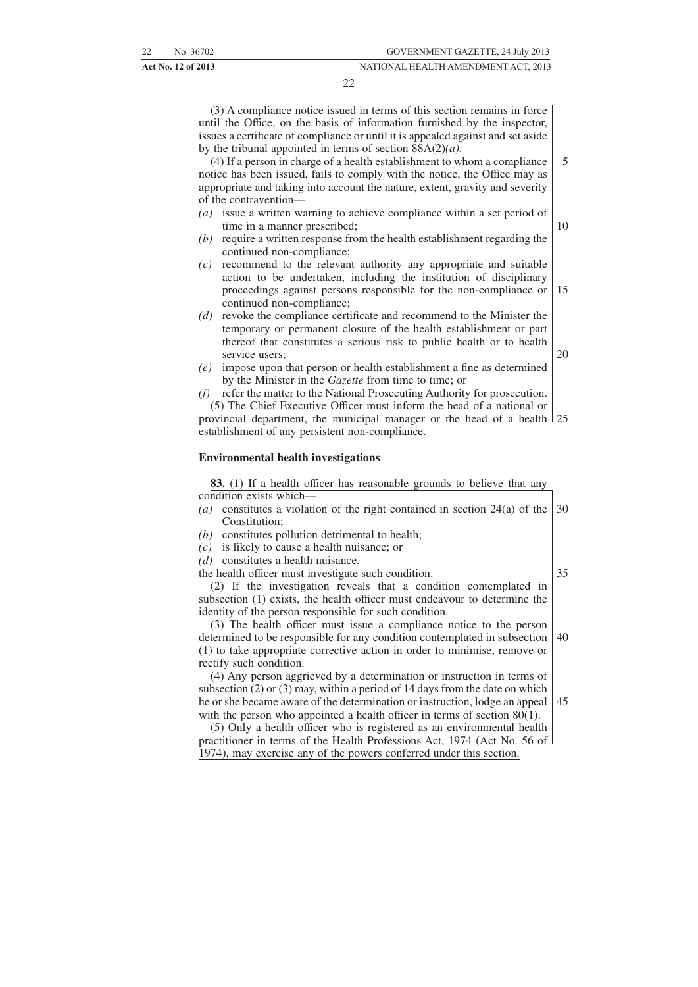22

(3) A compliance notice issued in terms of this section remains in force until the Office, on the basis of information furnished by the inspector, issues a certificate of compliance or until it is appealed against and set aside by the tribunal appointed in terms of section 88A(2)*(a)*.

(4) If a person in charge of a health establishment to whom a compliance notice has been issued, fails to comply with the notice, the Office may as appropriate and taking into account the nature, extent, gravity and severity of the contravention— 5

- *(a)* issue a written warning to achieve compliance within a set period of time in a manner prescribed;
- *(b)* require a written response from the health establishment regarding the continued non-compliance;
- *(c)* recommend to the relevant authority any appropriate and suitable action to be undertaken, including the institution of disciplinary proceedings against persons responsible for the non-compliance or continued non-compliance; 15
- *(d)* revoke the compliance certificate and recommend to the Minister the temporary or permanent closure of the health establishment or part thereof that constitutes a serious risk to public health or to health service users;
- 20

10

*(e)* impose upon that person or health establishment a fine as determined by the Minister in the *Gazette* from time to time; or

refer the matter to the National Prosecuting Authority for prosecution.

(5) The Chief Executive Officer must inform the head of a national or provincial department, the municipal manager or the head of a health 25 establishment of any persistent non-compliance.

#### **Environmental health investigations**

**83.** (1) If a health officer has reasonable grounds to believe that any condition exists which—

- *(a)* constitutes a violation of the right contained in section 24(a) of the Constitution; 30
- *(b)* constitutes pollution detrimental to health;
- *(c)* is likely to cause a health nuisance; or
- *(d)* constitutes a health nuisance,
- the health officer must investigate such condition.

(2) If the investigation reveals that a condition contemplated in subsection (1) exists, the health officer must endeavour to determine the identity of the person responsible for such condition.

(3) The health officer must issue a compliance notice to the person determined to be responsible for any condition contemplated in subsection (1) to take appropriate corrective action in order to minimise, remove or rectify such condition. 40

(4) Any person aggrieved by a determination or instruction in terms of subsection (2) or (3) may, within a period of 14 days from the date on which he or she became aware of the determination or instruction, lodge an appeal 45with the person who appointed a health officer in terms of section  $80(1)$ .

(5) Only a health officer who is registered as an environmental health practitioner in terms of the Health Professions Act, 1974 (Act No. 56 of 1974), may exercise any of the powers conferred under this section.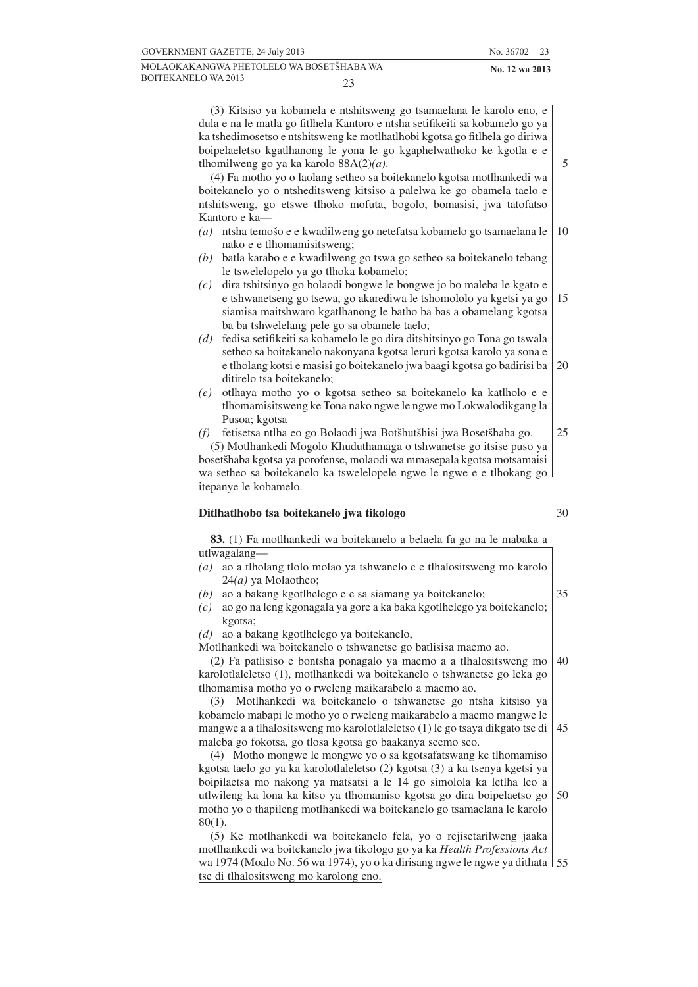(3) Kitsiso ya kobamela e ntshitsweng go tsamaelana le karolo eno, e dula e na le matla go fitlhela Kantoro e ntsha setifikeiti sa kobamelo go ya ka tshedimosetso e ntshitsweng ke motlhatlhobi kgotsa go fitlhela go diriwa boipelaeletso kgatlhanong le yona le go kgaphelwathoko ke kgotla e e tlhomilweng go ya ka karolo 88A(2)*(a)*.

(4) Fa motho yo o laolang setheo sa boitekanelo kgotsa motlhankedi wa boitekanelo yo o ntsheditsweng kitsiso a palelwa ke go obamela taelo e ntshitsweng, go etswe tlhoko mofuta, bogolo, bomasisi, jwa tatofatso Kantoro e ka—

- *(a)* ntsha temošo e e kwadilweng go netefatsa kobamelo go tsamaelana le nako e e tlhomamisitsweng; 10
- *(b)* batla karabo e e kwadilweng go tswa go setheo sa boitekanelo tebang le tswelelopelo ya go tlhoka kobamelo;
- *(c)* dira tshitsinyo go bolaodi bongwe le bongwe jo bo maleba le kgato e e tshwanetseng go tsewa, go akarediwa le tshomololo ya kgetsi ya go siamisa maitshwaro kgatlhanong le batho ba bas a obamelang kgotsa ba ba tshwelelang pele go sa obamele taelo; 15
- *(d)* fedisa setifikeiti sa kobamelo le go dira ditshitsinyo go Tona go tswala setheo sa boitekanelo nakonyana kgotsa leruri kgotsa karolo ya sona e e tlholang kotsi e masisi go boitekanelo jwa baagi kgotsa go badirisi ba ditirelo tsa boitekanelo; 20
- *(e)* otlhaya motho yo o kgotsa setheo sa boitekanelo ka katlholo e e tlhomamisitsweng ke Tona nako ngwe le ngwe mo Lokwalodikgang la Pusoa; kgotsa
- *(f)* fetisetsa ntlha eo go Bolaodi jwa Botšhutšhisi jwa Bosetšhaba go. (5) Motlhankedi Mogolo Khuduthamaga o tshwanetse go itsise puso ya bosetšhaba kgotsa ya porofense, molaodi wa mmasepala kgotsa motsamaisi wa setheo sa boitekanelo ka tswelelopele ngwe le ngwe e e tlhokang go itepanye le kobamelo. 25

#### **Ditlhatlhobo tsa boitekanelo jwa tikologo**

**83.** (1) Fa motlhankedi wa boitekanelo a belaela fa go na le mabaka a utlwagalang—

- *(a)* ao a tlholang tlolo molao ya tshwanelo e e tlhalositsweng mo karolo 24*(a)* ya Molaotheo;
- *(b)* ao a bakang kgotlhelego e e sa siamang ya boitekanelo;
- *(c)* ao go na leng kgonagala ya gore a ka baka kgotlhelego ya boitekanelo; kgotsa;

*(d)* ao a bakang kgotlhelego ya boitekanelo,

Motlhankedi wa boitekanelo o tshwanetse go batlisisa maemo ao.

(2) Fa patlisiso e bontsha ponagalo ya maemo a a tlhalositsweng mo karolotlaleletso (1), motlhankedi wa boitekanelo o tshwanetse go leka go tlhomamisa motho yo o rweleng maikarabelo a maemo ao. 40

(3) Motlhankedi wa boitekanelo o tshwanetse go ntsha kitsiso ya kobamelo mabapi le motho yo o rweleng maikarabelo a maemo mangwe le mangwe a a tlhalositsweng mo karolotlaleletso (1) le go tsaya dikgato tse di maleba go fokotsa, go tlosa kgotsa go baakanya seemo seo. 45

(4) Motho mongwe le mongwe yo o sa kgotsafatswang ke tlhomamiso kgotsa taelo go ya ka karolotlaleletso (2) kgotsa (3) a ka tsenya kgetsi ya boipilaetsa mo nakong ya matsatsi a le 14 go simolola ka letlha leo a utlwileng ka lona ka kitso ya tlhomamiso kgotsa go dira boipelaetso go motho yo o thapileng motlhankedi wa boitekanelo go tsamaelana le karolo 80(1). 50

(5) Ke motlhankedi wa boitekanelo fela, yo o rejisetarilweng jaaka motlhankedi wa boitekanelo jwa tikologo go ya ka *Health Professions Act* wa 1974 (Moalo No. 56 wa 1974), yo o ka dirisang ngwe le ngwe ya dithata 55tse di tlhalositsweng mo karolong eno.

5

30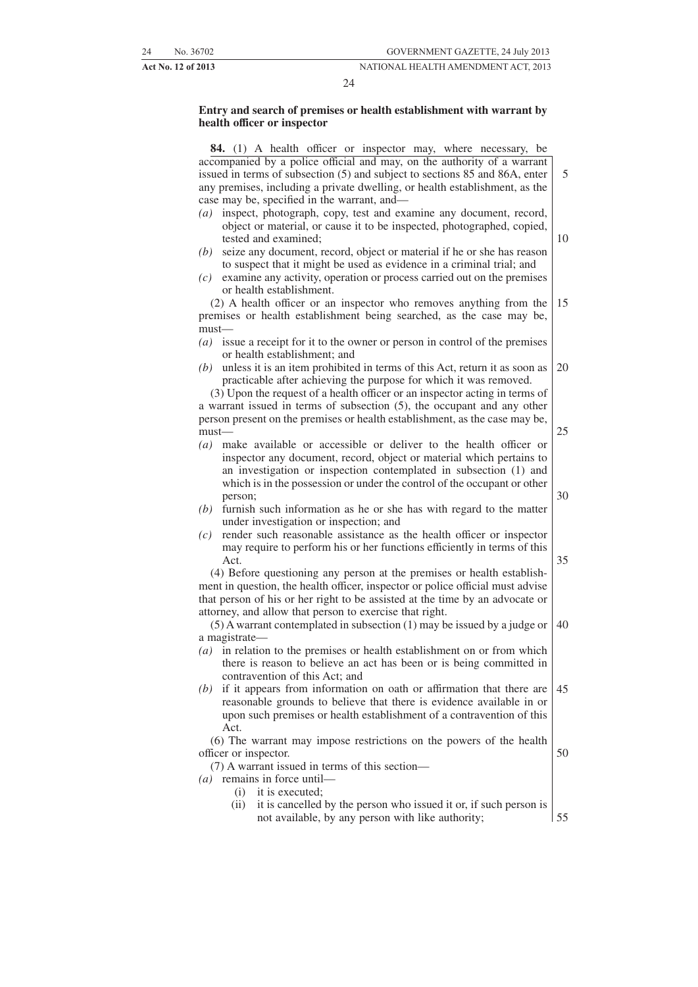#### 24

#### **Entry and search of premises or health establishment with warrant by health officer or inspector**

**84.** (1) A health officer or inspector may, where necessary, be accompanied by a police official and may, on the authority of a warrant issued in terms of subsection (5) and subject to sections 85 and 86A, enter any premises, including a private dwelling, or health establishment, as the case may be, specified in the warrant, and—

- *(a)* inspect, photograph, copy, test and examine any document, record, object or material, or cause it to be inspected, photographed, copied, tested and examined;
- *(b)* seize any document, record, object or material if he or she has reason to suspect that it might be used as evidence in a criminal trial; and
- *(c)* examine any activity, operation or process carried out on the premises or health establishment.

(2) A health officer or an inspector who removes anything from the premises or health establishment being searched, as the case may be, must— 15

- *(a)* issue a receipt for it to the owner or person in control of the premises or health establishment; and
- *(b)* unless it is an item prohibited in terms of this Act, return it as soon as practicable after achieving the purpose for which it was removed. 20

(3) Upon the request of a health officer or an inspector acting in terms of a warrant issued in terms of subsection (5), the occupant and any other person present on the premises or health establishment, as the case may be, must— 25

- *(a)* make available or accessible or deliver to the health officer or inspector any document, record, object or material which pertains to an investigation or inspection contemplated in subsection (1) and which is in the possession or under the control of the occupant or other person;
- *(b)* furnish such information as he or she has with regard to the matter under investigation or inspection; and
- *(c)* render such reasonable assistance as the health officer or inspector may require to perform his or her functions efficiently in terms of this Act.

(4) Before questioning any person at the premises or health establishment in question, the health officer, inspector or police official must advise that person of his or her right to be assisted at the time by an advocate or attorney, and allow that person to exercise that right.

(5) A warrant contemplated in subsection (1) may be issued by a judge or a magistrate— 40

- *(a)* in relation to the premises or health establishment on or from which there is reason to believe an act has been or is being committed in contravention of this Act; and
- *(b)* if it appears from information on oath or affirmation that there are reasonable grounds to believe that there is evidence available in or upon such premises or health establishment of a contravention of this Act. 45

(6) The warrant may impose restrictions on the powers of the health officer or inspector. 50

(7) A warrant issued in terms of this section—

*(a)* remains in force until—

(i) it is executed;

(ii) it is cancelled by the person who issued it or, if such person is not available, by any person with like authority; 55

10

5

35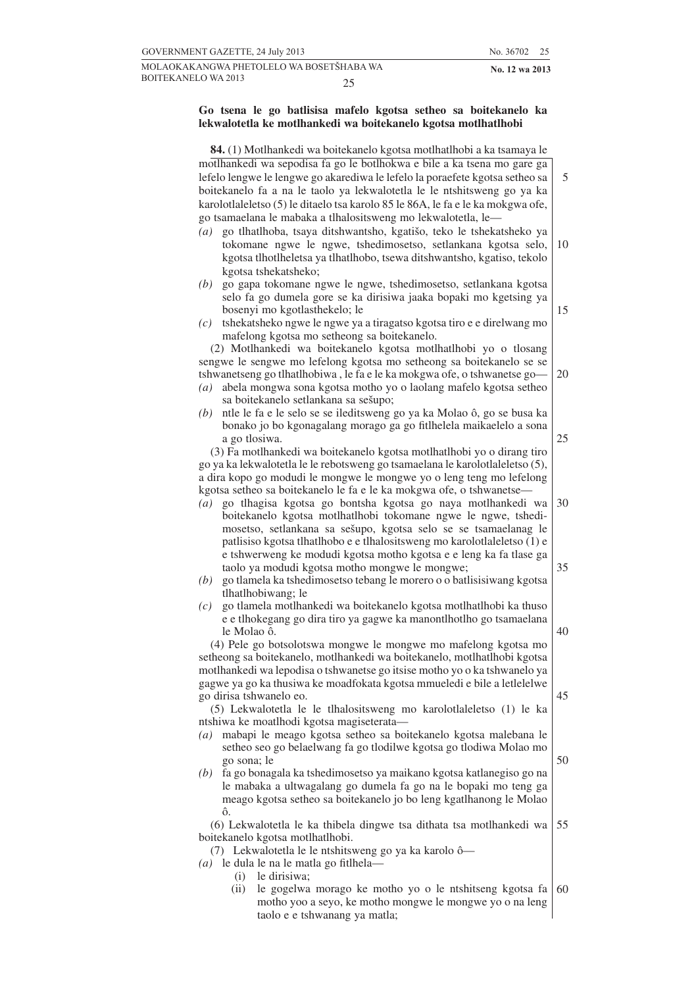#### **Go tsena le go batlisisa mafelo kgotsa setheo sa boitekanelo ka lekwalotetla ke motlhankedi wa boitekanelo kgotsa motlhatlhobi**

| 84. (1) Motlhankedi wa boitekanelo kgotsa motlhatlhobi a ka tsamaya le                                                                        |    |
|-----------------------------------------------------------------------------------------------------------------------------------------------|----|
| motlhankedi wa sepodisa fa go le botlhokwa e bile a ka tsena mo gare ga                                                                       |    |
| lefelo lengwe le lengwe go akarediwa le lefelo la poraefete kgotsa setheo sa                                                                  | 5  |
| boitekanelo fa a na le taolo ya lekwalotetla le le ntshitsweng go ya ka                                                                       |    |
| karolotlaleletso (5) le ditaelo tsa karolo 85 le 86A, le fa e le ka mokgwa ofe,                                                               |    |
| go tsamaelana le mabaka a tlhalositsweng mo lekwalotetla, le-                                                                                 |    |
| go tlhatlhoba, tsaya ditshwantsho, kgatišo, teko le tshekatsheko ya<br>(a)                                                                    |    |
| tokomane ngwe le ngwe, tshedimosetso, setlankana kgotsa selo,                                                                                 | 10 |
| kgotsa tlhotlheletsa ya tlhatlhobo, tsewa ditshwantsho, kgatiso, tekolo                                                                       |    |
| kgotsa tshekatsheko;                                                                                                                          |    |
| go gapa tokomane ngwe le ngwe, tshedimosetso, setlankana kgotsa<br>(b)                                                                        |    |
| selo fa go dumela gore se ka dirisiwa jaaka bopaki mo kgetsing ya                                                                             |    |
| bosenyi mo kgotlasthekelo; le                                                                                                                 | 15 |
| tshekatsheko ngwe le ngwe ya a tiragatso kgotsa tiro e e direlwang mo<br>(c)                                                                  |    |
| mafelong kgotsa mo setheong sa boitekanelo.                                                                                                   |    |
| (2) Motlhankedi wa boitekanelo kgotsa motlhatlhobi yo o tlosang                                                                               |    |
| sengwe le sengwe mo lefelong kgotsa mo setheong sa boitekanelo se se                                                                          |    |
| tshwanetseng go tlhatlhobiwa, le fa e le ka mokgwa ofe, o tshwanetse go-                                                                      | 20 |
| abela mongwa sona kgotsa motho yo o laolang mafelo kgotsa setheo<br>$\left( a\right)$                                                         |    |
| sa boitekanelo setlankana sa sešupo;                                                                                                          |    |
| ntle le fa e le selo se se ileditsweng go ya ka Molao ô, go se busa ka<br>(b)                                                                 |    |
| bonako jo bo kgonagalang morago ga go fitlhelela maikaelelo a sona                                                                            |    |
| a go tlosiwa.                                                                                                                                 | 25 |
| (3) Fa motlhankedi wa boitekanelo kgotsa motlhatlhobi yo o dirang tiro                                                                        |    |
| go ya ka lekwalotetla le le rebotsweng go tsamaelana le karolotlaleletso (5),                                                                 |    |
| a dira kopo go modudi le mongwe le mongwe yo o leng teng mo lefelong                                                                          |    |
| kgotsa setheo sa boitekanelo le fa e le ka mokgwa ofe, o tshwanetse-                                                                          |    |
| go tlhagisa kgotsa go bontsha kgotsa go naya motlhankedi wa<br>$\left( a\right)$                                                              | 30 |
| boitekanelo kgotsa motlhatlhobi tokomane ngwe le ngwe, tshedi-                                                                                |    |
| mosetso, setlankana sa sešupo, kgotsa selo se se tsamaelanag le                                                                               |    |
| patlisiso kgotsa tlhatlhobo e e tlhalositsweng mo karolotlaleletso (1) e                                                                      |    |
| e tshwerweng ke modudi kgotsa motho kgotsa e e leng ka fa tlase ga                                                                            |    |
| taolo ya modudi kgotsa motho mongwe le mongwe;                                                                                                | 35 |
| go tlamela ka tshedimosetso tebang le morero o o batlisisiwang kgotsa<br>(b)                                                                  |    |
| tlhatlhobiwang; le                                                                                                                            |    |
| go tlamela motlhankedi wa boitekanelo kgotsa motlhatlhobi ka thuso<br>(c)                                                                     |    |
| e e tlhokegang go dira tiro ya gagwe ka manontlhotlho go tsamaelana                                                                           |    |
| le Molao ô.                                                                                                                                   | 40 |
| (4) Pele go botsolotswa mongwe le mongwe mo mafelong kgotsa mo                                                                                |    |
| setheong sa boitekanelo, motlhankedi wa boitekanelo, motlhatlhobi kgotsa                                                                      |    |
| motlhankedi wa lepodisa o tshwanetse go itsise motho yo o ka tshwanelo ya                                                                     |    |
| gagwe ya go ka thusiwa ke moadfokata kgotsa mmueledi e bile a letlelelwe                                                                      |    |
| go dirisa tshwanelo eo.                                                                                                                       | 45 |
| (5) Lekwalotetla le le tlhalositsweng mo karolotlaleletso (1) le ka                                                                           |    |
| ntshiwa ke moatlhodi kgotsa magiseterata-                                                                                                     |    |
| mabapi le meago kgotsa setheo sa boitekanelo kgotsa malebana le<br>$\left( a\right)$                                                          |    |
| setheo seo go belaelwang fa go tlodilwe kgotsa go tlodiwa Molao mo                                                                            | 50 |
| go sona; le                                                                                                                                   |    |
| fa go bonagala ka tshedimosetso ya maikano kgotsa katlanegiso go na<br>(b)<br>le mabaka a ultwagalang go dumela fa go na le bopaki mo teng ga |    |
| meago kgotsa setheo sa boitekanelo jo bo leng kgatlhanong le Molao                                                                            |    |
| ô.                                                                                                                                            |    |
| (6) Lekwalotetla le ka thibela dingwe tsa dithata tsa motlhankedi wa                                                                          | 55 |
| boitekanelo kgotsa motlhatlhobi.                                                                                                              |    |
| (7) Lekwalotetla le le ntshitsweng go ya ka karolo ô—                                                                                         |    |
| le dula le na le matla go fitlhela-<br>$\left( a\right)$                                                                                      |    |
| le dirisiwa;<br>(i)                                                                                                                           |    |
| le gogelwa morago ke motho yo o le ntshitseng kgotsa fa<br>(ii)                                                                               | 60 |
| motho yoo a seyo, ke motho mongwe le mongwe yo o na leng                                                                                      |    |
| taolo e e tshwanang ya matla;                                                                                                                 |    |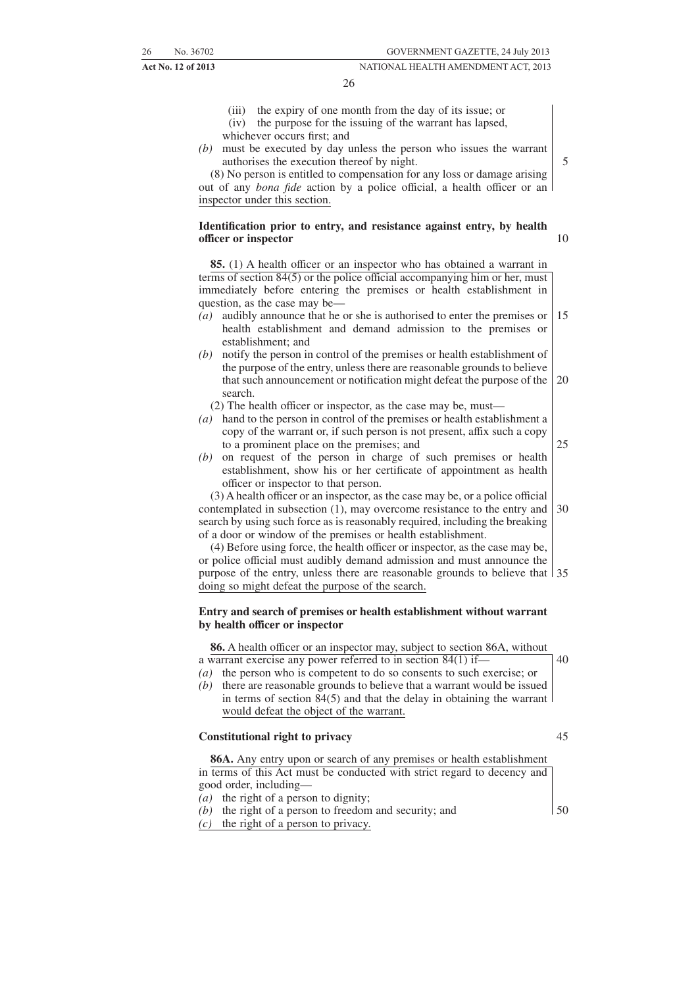#### 26

- (iii) the expiry of one month from the day of its issue; or
- (iv) the purpose for the issuing of the warrant has lapsed,
- whichever occurs first; and
- *(b)* must be executed by day unless the person who issues the warrant authorises the execution thereof by night.

(8) No person is entitled to compensation for any loss or damage arising out of any *bona fide* action by a police official, a health officer or an inspector under this section.

#### **Identification prior to entry, and resistance against entry, by health officer or inspector**

**85.** (1) A health officer or an inspector who has obtained a warrant in terms of section 84(5) or the police official accompanying him or her, must immediately before entering the premises or health establishment in question, as the case may be—

- *(a)* audibly announce that he or she is authorised to enter the premises or health establishment and demand admission to the premises or establishment; and 15
- *(b)* notify the person in control of the premises or health establishment of the purpose of the entry, unless there are reasonable grounds to believe that such announcement or notification might defeat the purpose of the search. 20
	- (2) The health officer or inspector, as the case may be, must—
- *(a)* hand to the person in control of the premises or health establishment a copy of the warrant or, if such person is not present, affix such a copy to a prominent place on the premises; and
- *(b)* on request of the person in charge of such premises or health establishment, show his or her certificate of appointment as health officer or inspector to that person.

(3) A health officer or an inspector, as the case may be, or a police official contemplated in subsection (1), may overcome resistance to the entry and search by using such force as is reasonably required, including the breaking of a door or window of the premises or health establishment. 30

(4) Before using force, the health officer or inspector, as the case may be, or police official must audibly demand admission and must announce the purpose of the entry, unless there are reasonable grounds to believe that 35 doing so might defeat the purpose of the search.

#### **Entry and search of premises or health establishment without warrant by health officer or inspector**

**86.** A health officer or an inspector may, subject to section 86A, without a warrant exercise any power referred to in section 84(1) if—

- *(a)* the person who is competent to do so consents to such exercise; or
- *(b)* there are reasonable grounds to believe that a warrant would be issued in terms of section 84(5) and that the delay in obtaining the warrant would defeat the object of the warrant.

#### **Constitutional right to privacy**

45

50

40

**86A.** Any entry upon or search of any premises or health establishment in terms of this Act must be conducted with strict regard to decency and good order, including—

- *(a)* the right of a person to dignity;
- *(b)* the right of a person to freedom and security; and
- *(c)* the right of a person to privacy.

5

10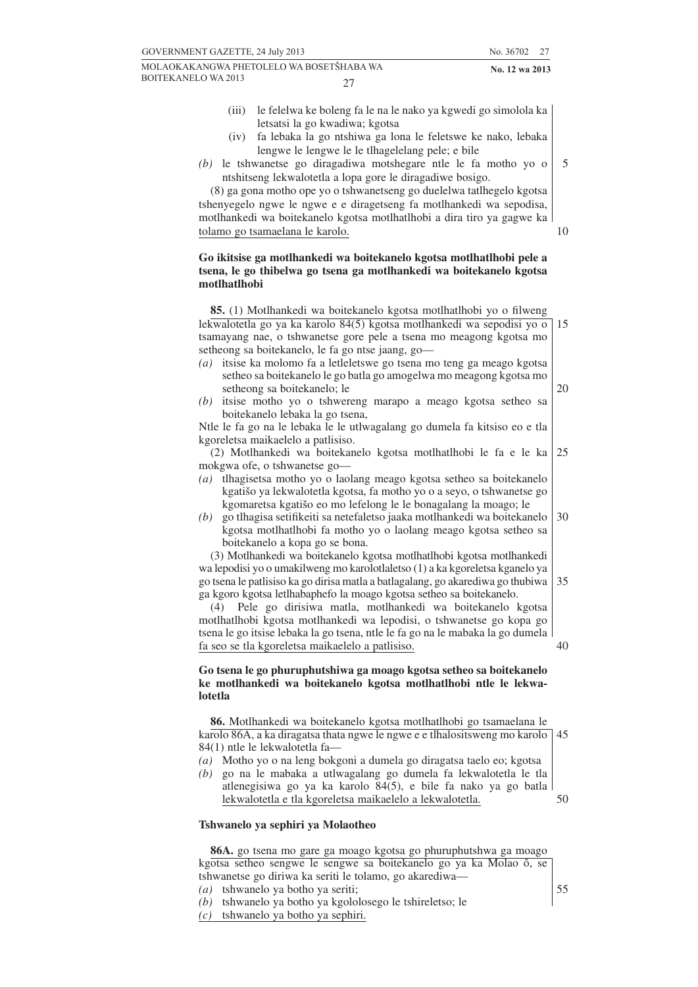27

5

10

20

40

55

- (iii) le felelwa ke boleng fa le na le nako ya kgwedi go simolola ka letsatsi la go kwadiwa; kgotsa
- (iv) fa lebaka la go ntshiwa ga lona le feletswe ke nako, lebaka lengwe le lengwe le le tlhagelelang pele; e bile
- *(b)* le tshwanetse go diragadiwa motshegare ntle le fa motho yo o ntshitseng lekwalotetla a lopa gore le diragadiwe bosigo.

(8) ga gona motho ope yo o tshwanetseng go duelelwa tatlhegelo kgotsa tshenyegelo ngwe le ngwe e e diragetseng fa motlhankedi wa sepodisa, motlhankedi wa boitekanelo kgotsa motlhatlhobi a dira tiro ya gagwe ka tolamo go tsamaelana le karolo.

#### **Go ikitsise ga motlhankedi wa boitekanelo kgotsa motlhatlhobi pele a tsena, le go thibelwa go tsena ga motlhankedi wa boitekanelo kgotsa motlhatlhobi**

**85.** (1) Motlhankedi wa boitekanelo kgotsa motlhatlhobi yo o filweng lekwalotetla go ya ka karolo 84(5) kgotsa motlhankedi wa sepodisi yo o tsamayang nae, o tshwanetse gore pele a tsena mo meagong kgotsa mo setheong sa boitekanelo, le fa go ntse jaang, go— 15

- *(a)* itsise ka molomo fa a letleletswe go tsena mo teng ga meago kgotsa setheo sa boitekanelo le go batla go amogelwa mo meagong kgotsa mo setheong sa boitekanelo; le
- *(b)* itsise motho yo o tshwereng marapo a meago kgotsa setheo sa boitekanelo lebaka la go tsena,

Ntle le fa go na le lebaka le le utlwagalang go dumela fa kitsiso eo e tla kgoreletsa maikaelelo a patlisiso.

(2) Motlhankedi wa boitekanelo kgotsa motlhatlhobi le fa e le ka mokgwa ofe, o tshwanetse go— 25

- *(a)* tlhagisetsa motho yo o laolang meago kgotsa setheo sa boitekanelo kgatišo ya lekwalotetla kgotsa, fa motho yo o a seyo, o tshwanetse go kgomaretsa kgatišo eo mo lefelong le le bonagalang la moago; le
- *(b)* go tlhagisa setifikeiti sa netefaletso jaaka motlhankedi wa boitekanelo kgotsa motlhatlhobi fa motho yo o laolang meago kgotsa setheo sa boitekanelo a kopa go se bona. 30

(3) Motlhankedi wa boitekanelo kgotsa motlhatlhobi kgotsa motlhankedi wa lepodisi yo o umakilweng mo karolotlaletso (1) a ka kgoreletsa kganelo ya go tsena le patlisiso ka go dirisa matla a batlagalang, go akarediwa go thubiwa ga kgoro kgotsa letlhabaphefo la moago kgotsa setheo sa boitekanelo. 35

(4) Pele go dirisiwa matla, motlhankedi wa boitekanelo kgotsa motlhatlhobi kgotsa motlhankedi wa lepodisi, o tshwanetse go kopa go tsena le go itsise lebaka la go tsena, ntle le fa go na le mabaka la go dumela fa seo se tla kgoreletsa maikaelelo a patlisiso.

#### **Go tsena le go phuruphutshiwa ga moago kgotsa setheo sa boitekanelo ke motlhankedi wa boitekanelo kgotsa motlhatlhobi ntle le lekwalotetla**

**86.** Motlhankedi wa boitekanelo kgotsa motlhatlhobi go tsamaelana le karolo 86A, a ka diragatsa thata ngwe le ngwe e e tlhalositsweng mo karolo 84(1) ntle le lekwalotetla fa— 45

- *(a)* Motho yo o na leng bokgoni a dumela go diragatsa taelo eo; kgotsa
- *(b)* go na le mabaka a utlwagalang go dumela fa lekwalotetla le tla atlenegisiwa go ya ka karolo 84(5), e bile fa nako ya go batla lekwalotetla e tla kgoreletsa maikaelelo a lekwalotetla. 50

#### **Tshwanelo ya sephiri ya Molaotheo**

**86A.** go tsena mo gare ga moago kgotsa go phuruphutshwa ga moago kgotsa setheo sengwe le sengwe sa boitekanelo go ya ka Molao ô, se tshwanetse go diriwa ka seriti le tolamo, go akarediwa—

*(a)* tshwanelo ya botho ya seriti;

*(b)* tshwanelo ya botho ya kgololosego le tshireletso; le

*<sup>(</sup>c)* tshwanelo ya botho ya sephiri.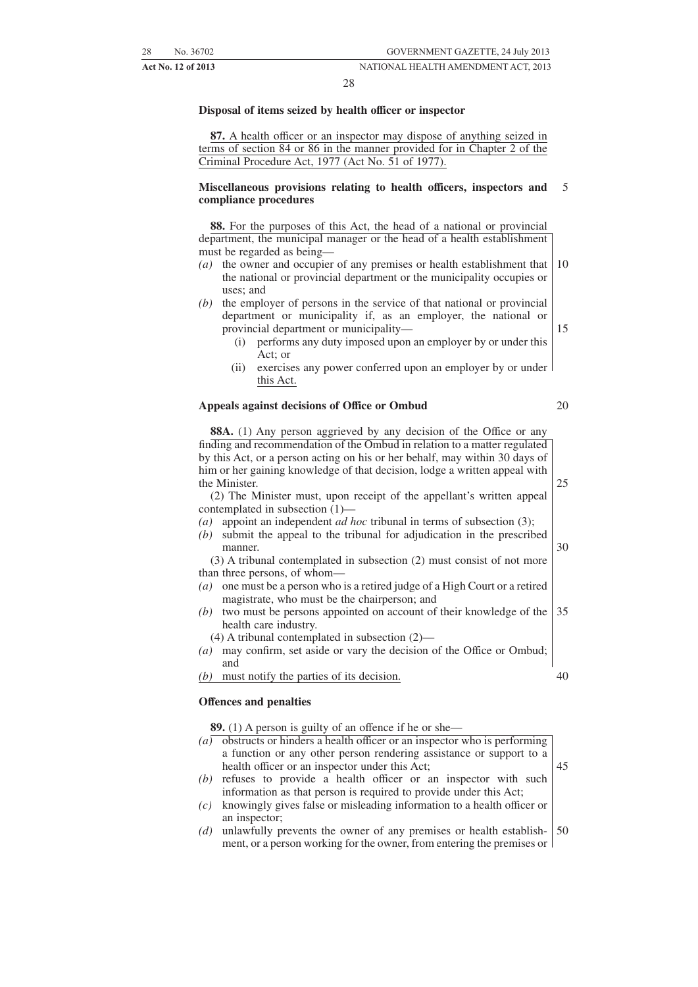#### 28

#### **Disposal of items seized by health officer or inspector**

**87.** A health officer or an inspector may dispose of anything seized in terms of section 84 or 86 in the manner provided for in Chapter 2 of the Criminal Procedure Act, 1977 (Act No. 51 of 1977).

#### **Miscellaneous provisions relating to health officers, inspectors and compliance procedures** 5

**88.** For the purposes of this Act, the head of a national or provincial department, the municipal manager or the head of a health establishment must be regarded as being—

- *(a)* the owner and occupier of any premises or health establishment that the national or provincial department or the municipality occupies or uses; and 10
- *(b)* the employer of persons in the service of that national or provincial department or municipality if, as an employer, the national or provincial department or municipality—
	- (i) performs any duty imposed upon an employer by or under this Act; or
	- (ii) exercises any power conferred upon an employer by or under this Act.

#### **Appeals against decisions of Office or Ombud**

**88A.** (1) Any person aggrieved by any decision of the Office or any finding and recommendation of the Ombud in relation to a matter regulated by this Act, or a person acting on his or her behalf, may within 30 days of him or her gaining knowledge of that decision, lodge a written appeal with the Minister.

(2) The Minister must, upon receipt of the appellant's written appeal contemplated in subsection (1)—

- *(a)* appoint an independent *ad hoc* tribunal in terms of subsection (3);
- *(b)* submit the appeal to the tribunal for adjudication in the prescribed manner.

(3) A tribunal contemplated in subsection (2) must consist of not more than three persons, of whom—

- *(a)* one must be a person who is a retired judge of a High Court or a retired magistrate, who must be the chairperson; and
- *(b)* two must be persons appointed on account of their knowledge of the health care industry. 35
	- (4) A tribunal contemplated in subsection (2)—
- *(a)* may confirm, set aside or vary the decision of the Office or Ombud; and

*(b)* must notify the parties of its decision.

#### **Offences and penalties**

**89.** (1) A person is guilty of an offence if he or she—

- *(a)* obstructs or hinders a health officer or an inspector who is performing a function or any other person rendering assistance or support to a health officer or an inspector under this Act; 45
- *(b)* refuses to provide a health officer or an inspector with such information as that person is required to provide under this Act;
- *(c)* knowingly gives false or misleading information to a health officer or an inspector;
- *(d)* unlawfully prevents the owner of any premises or health establishment, or a person working for the owner, from entering the premises or 50

20

25

30

15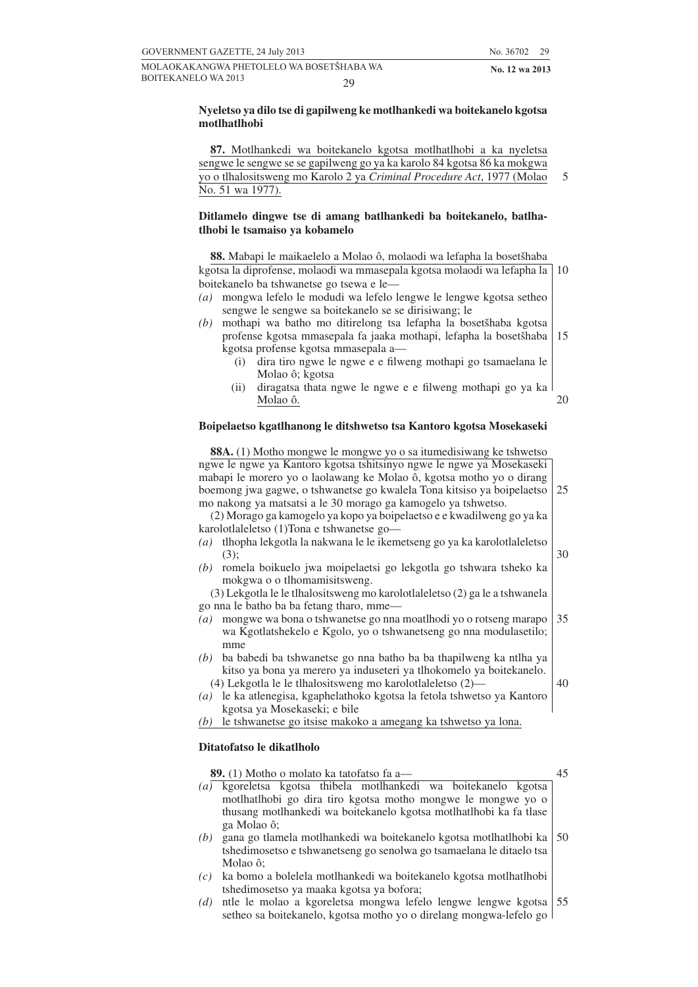5

#### **Nyeletso ya dilo tse di gapilweng ke motlhankedi wa boitekanelo kgotsa motlhatlhobi**

**87.** Motlhankedi wa boitekanelo kgotsa motlhatlhobi a ka nyeletsa sengwe le sengwe se se gapilweng go ya ka karolo 84 kgotsa 86 ka mokgwa yo o tlhalositsweng mo Karolo 2 ya *Criminal Procedure Act*, 1977 (Molao No. 51 wa 1977).

#### **Ditlamelo dingwe tse di amang batlhankedi ba boitekanelo, batlhatlhobi le tsamaiso ya kobamelo**

**88.** Mabapi le maikaelelo a Molao ô, molaodi wa lefapha la bosetšhaba kgotsa la diprofense, molaodi wa mmasepala kgotsa molaodi wa lefapha la boitekanelo ba tshwanetse go tsewa e le— 10

- *(a)* mongwa lefelo le modudi wa lefelo lengwe le lengwe kgotsa setheo sengwe le sengwe sa boitekanelo se se dirisiwang; le
- *(b)* mothapi wa batho mo ditirelong tsa lefapha la bosetšhaba kgotsa profense kgotsa mmasepala fa jaaka mothapi, lefapha la bosetšhaba kgotsa profense kgotsa mmasepala a— 15
	- (i) dira tiro ngwe le ngwe e e filweng mothapi go tsamaelana le Molao ô; kgotsa
	- (ii) diragatsa thata ngwe le ngwe e e filweng mothapi go ya ka Molao ô. 20

#### **Boipelaetso kgatlhanong le ditshwetso tsa Kantoro kgotsa Mosekaseki**

**88A.** (1) Motho mongwe le mongwe yo o sa itumedisiwang ke tshwetso ngwe le ngwe ya Kantoro kgotsa tshitsinyo ngwe le ngwe ya Mosekaseki mabapi le morero yo o laolawang ke Molao ô, kgotsa motho yo o dirang boemong jwa gagwe, o tshwanetse go kwalela Tona kitsiso ya boipelaetso mo nakong ya matsatsi a le 30 morago ga kamogelo ya tshwetso. (2) Morago ga kamogelo ya kopo ya boipelaetso e e kwadilweng go ya ka karolotlaleletso (1)Tona e tshwanetse go— *(a)* tlhopha lekgotla la nakwana le le ikemetseng go ya ka karolotlaleletso (3); *(b)* romela boikuelo jwa moipelaetsi go lekgotla go tshwara tsheko ka mokgwa o o tlhomamisitsweng. (3) Lekgotla le le tlhalositsweng mo karolotlaleletso (2) ga le a tshwanela go nna le batho ba ba fetang tharo, mme— *(a)* mongwe wa bona o tshwanetse go nna moatlhodi yo o rotseng marapo wa Kgotlatshekelo e Kgolo, yo o tshwanetseng go nna modulasetilo; mme *(b)* ba babedi ba tshwanetse go nna batho ba ba thapilweng ka ntlha ya kitso ya bona ya merero ya induseteri ya tlhokomelo ya boitekanelo. 25 30 35 40

- (4) Lekgotla le le tlhalositsweng mo karolotlaleletso (2)— *(a)* le ka atlenegisa, kgaphelathoko kgotsa la fetola tshwetso ya Kantoro
- kgotsa ya Mosekaseki; e bile
- *(b)* le tshwanetse go itsise makoko a amegang ka tshwetso ya lona.

#### **Ditatofatso le dikatlholo**

**89.** (1) Motho o molato ka tatofatso fa a— *(a)* kgoreletsa kgotsa thibela motlhankedi wa boitekanelo kgotsa motlhatlhobi go dira tiro kgotsa motho mongwe le mongwe yo o thusang motlhankedi wa boitekanelo kgotsa motlhatlhobi ka fa tlase ga Molao ô; *(b)* gana go tlamela motlhankedi wa boitekanelo kgotsa motlhatlhobi ka tshedimosetso e tshwanetseng go senolwa go tsamaelana le ditaelo tsa Molao ô; 45 50

- *(c)* ka bomo a bolelela motlhankedi wa boitekanelo kgotsa motlhatlhobi tshedimosetso ya maaka kgotsa ya bofora;
- *(d)* ntle le molao a kgoreletsa mongwa lefelo lengwe lengwe kgotsa setheo sa boitekanelo, kgotsa motho yo o direlang mongwa-lefelo go 55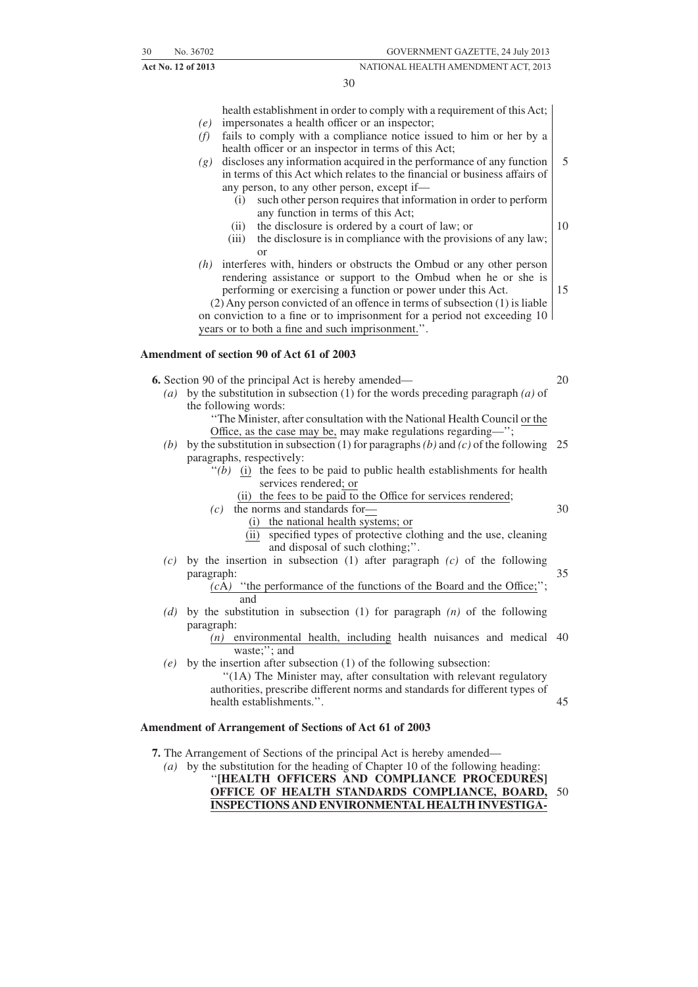30

health establishment in order to comply with a requirement of this Act;

- *(e)* impersonates a health officer or an inspector;
- *(f)* fails to comply with a compliance notice issued to him or her by a health officer or an inspector in terms of this Act;
- *(g)* discloses any information acquired in the performance of any function in terms of this Act which relates to the financial or business affairs of any person, to any other person, except if— 5
	- (i) such other person requires that information in order to perform any function in terms of this Act;
	- (ii) the disclosure is ordered by a court of law; or
	- (iii) the disclosure is in compliance with the provisions of any law; or
- *(h)* interferes with, hinders or obstructs the Ombud or any other person rendering assistance or support to the Ombud when he or she is performing or exercising a function or power under this Act.

(2) Any person convicted of an offence in terms of subsection (1) is liable on conviction to a fine or to imprisonment for a period not exceeding 10 years or to both a fine and such imprisonment.''.

#### **Amendment of section 90 of Act 61 of 2003**

**6.** Section 90 of the principal Act is hereby amended—

- *(a)* by the substitution in subsection (1) for the words preceding paragraph *(a)* of the following words:
	- ''The Minister, after consultation with the National Health Council or the Office, as the case may be, may make regulations regarding—'';
	- (b) by the substitution in subsection (1) for paragraphs (b) and (c) of the following 25 paragraphs, respectively:
		- $''(b)$  (i) the fees to be paid to public health establishments for health services rendered; or
			- (ii) the fees to be paid to the Office for services rendered;
		- *(c)* the norms and standards for—
			- (i) the national health systems; or
			- (ii) specified types of protective clothing and the use, cleaning and disposal of such clothing;''.
	- *(c)* by the insertion in subsection (1) after paragraph *(c)* of the following paragraph: 35

### *(c*A*)* ''the performance of the functions of the Board and the Office;''; and

*(d)* by the substitution in subsection (1) for paragraph *(n)* of the following paragraph:

*(n)* environmental health, including health nuisances and medical 40 waste;"; and

*(e)* by the insertion after subsection (1) of the following subsection: "(1A) The Minister may, after consultation with relevant regulatory authorities, prescribe different norms and standards for different types of health establishments.''. 45

#### **Amendment of Arrangement of Sections of Act 61 of 2003**

- **7.** The Arrangement of Sections of the principal Act is hereby amended—
	- *(a)* by the substitution for the heading of Chapter 10 of the following heading:

''**[HEALTH OFFICERS AND COMPLIANCE PROCEDURES] OFFICE OF HEALTH STANDARDS COMPLIANCE, BOARD, INSPECTIONS AND ENVIRONMENTAL HEALTH INVESTIGA-**50

10

15

20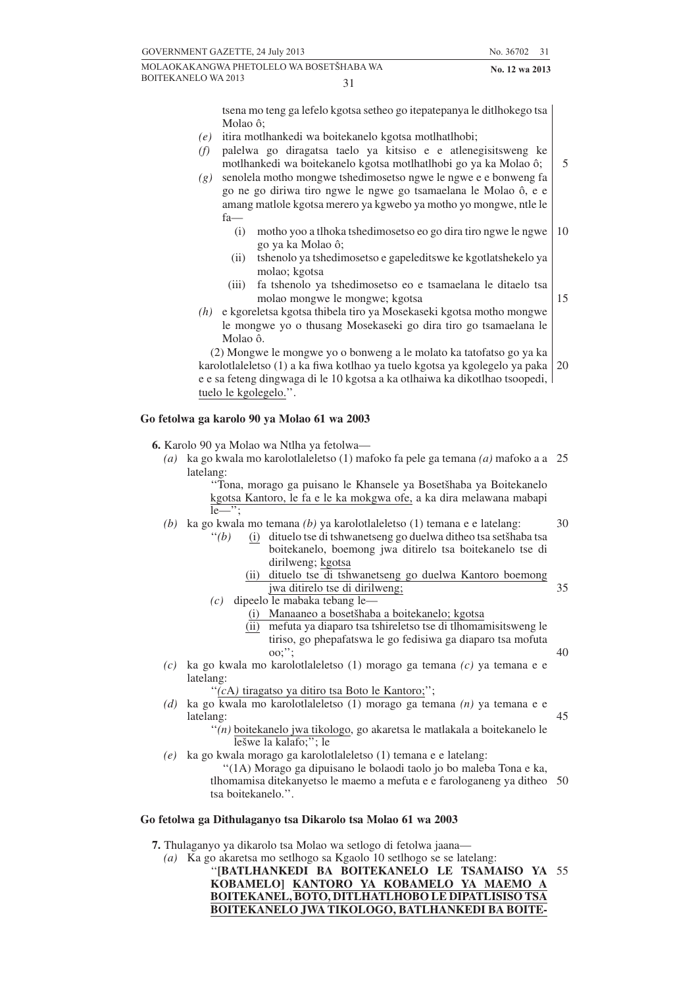tsena mo teng ga lefelo kgotsa setheo go itepatepanya le ditlhokego tsa Molao ô;

- *(e)* itira motlhankedi wa boitekanelo kgotsa motlhatlhobi;
- *(f)* palelwa go diragatsa taelo ya kitsiso e e atlenegisitsweng ke motlhankedi wa boitekanelo kgotsa motlhatlhobi go ya ka Molao ô;
- *(g)* senolela motho mongwe tshedimosetso ngwe le ngwe e e bonweng fa go ne go diriwa tiro ngwe le ngwe go tsamaelana le Molao ô, e e amang matlole kgotsa merero ya kgwebo ya motho yo mongwe, ntle le fa—
	- (i) motho yoo a tlhoka tshedimosetso eo go dira tiro ngwe le ngwe go ya ka Molao ô; 10
	- (ii) tshenolo ya tshedimosetso e gapeleditswe ke kgotlatshekelo ya molao; kgotsa
	- (iii) fa tshenolo ya tshedimosetso eo e tsamaelana le ditaelo tsa molao mongwe le mongwe; kgotsa
- *(h)* e kgoreletsa kgotsa thibela tiro ya Mosekaseki kgotsa motho mongwe le mongwe yo o thusang Mosekaseki go dira tiro go tsamaelana le Molao ô.

(2) Mongwe le mongwe yo o bonweng a le molato ka tatofatso go ya ka karolotlaleletso (1) a ka fiwa kotlhao ya tuelo kgotsa ya kgolegelo ya paka e e sa feteng dingwaga di le 10 kgotsa a ka otlhaiwa ka dikotlhao tsoopedi, tuelo le kgolegelo.''. 20

## **Go fetolwa ga karolo 90 ya Molao 61 wa 2003**

**6.** Karolo 90 ya Molao wa Ntlha ya fetolwa—

*(a)* ka go kwala mo karolotlaleletso (1) mafoko fa pele ga temana *(a)* mafoko a a 25 latelang:

"Tona, morago ga puisano le Khansele ya Bosetšhaba ya Boitekanelo kgotsa Kantoro, le fa e le ka mokgwa ofe, a ka dira melawana mabapi  $le$  $\cdots$ :

- *(b)* ka go kwala mo temana *(b)* ya karolotlaleletso (1) temana e e latelang:
	- "(b) (i) dituelo tse di tshwanetseng go duelwa ditheo tsa setšhaba tsa boitekanelo, boemong jwa ditirelo tsa boitekanelo tse di dirilweng; kgotsa
		- (ii) dituelo tse di tshwanetseng go duelwa Kantoro boemong jwa ditirelo tse di dirilweng; 35
	- *(c)* dipeelo le mabaka tebang le—
		- (i) Manaaneo a bosetšhaba a boitekanelo; kgotsa
		- (ii) mefuta ya diaparo tsa tshireletso tse di tlhomamisitsweng le tiriso, go phepafatswa le go fedisiwa ga diaparo tsa mofuta oo;'';
- *(c)* ka go kwala mo karolotlaleletso (1) morago ga temana *(c)* ya temana e e latelang:

''*(c*A*)* tiragatso ya ditiro tsa Boto le Kantoro;'';

- *(d)* ka go kwala mo karolotlaleletso (1) morago ga temana *(n)* ya temana e e latelang: 45
	- ''*(n)* boitekanelo jwa tikologo, go akaretsa le matlakala a boitekanelo le lešwe la kalafo;"; le
- *(e)* ka go kwala morago ga karolotlaleletso (1) temana e e latelang:

''(1A) Morago ga dipuisano le bolaodi taolo jo bo maleba Tona e ka, tlhomamisa ditekanyetso le maemo a mefuta e e farologaneng ya ditheo 50 tsa boitekanelo.''.

#### **Go fetolwa ga Dithulaganyo tsa Dikarolo tsa Molao 61 wa 2003**

- **7.** Thulaganyo ya dikarolo tsa Molao wa setlogo di fetolwa jaana—
	- *(a)* Ka go akaretsa mo setlhogo sa Kgaolo 10 setlhogo se se latelang:

''**[BATLHANKEDI BA BOITEKANELO LE TSAMAISO YA** 55**KOBAMELO] KANTORO YA KOBAMELO YA MAEMO A BOITEKANEL, BOTO, DITLHATLHOBO LE DIPATLISISO TSA BOITEKANELO JWA TIKOLOGO, BATLHANKEDI BA BOITE-**

5

15

 $30$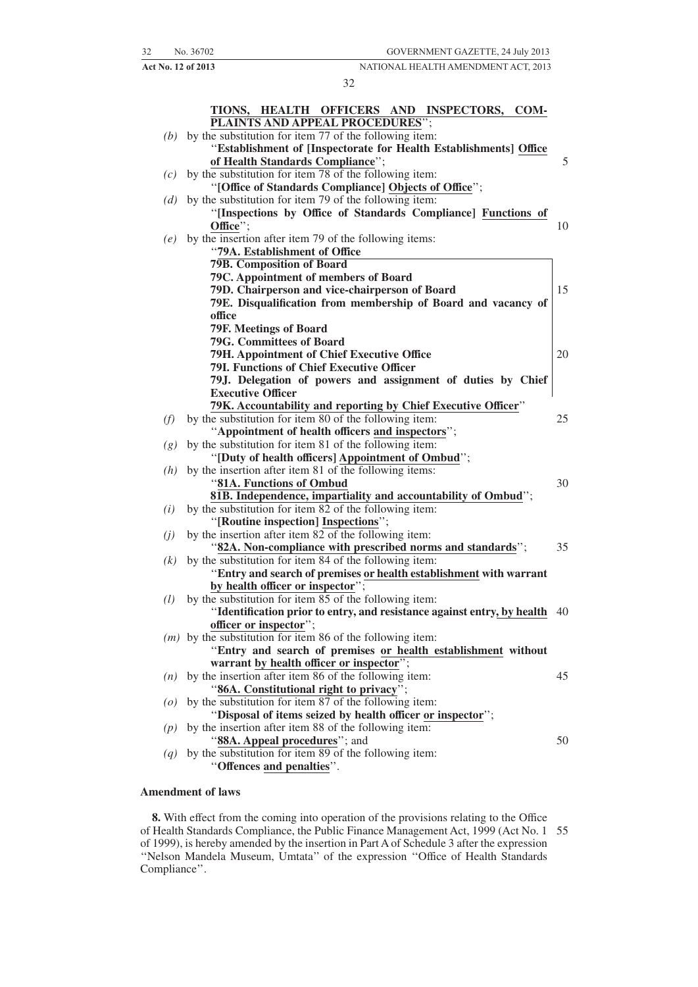#### 32

|                    | TIONS, HEALTH OFFICERS AND INSPECTORS, COM-<br>PLAINTS AND APPEAL PROCEDURES";                                                    |    |
|--------------------|-----------------------------------------------------------------------------------------------------------------------------------|----|
| (b)                | by the substitution for item 77 of the following item:<br>"Establishment of [Inspectorate for Health Establishments] Office       |    |
|                    | of Health Standards Compliance";                                                                                                  | 5  |
| (c)                | by the substitution for item 78 of the following item:                                                                            |    |
|                    | "[Office of Standards Compliance] Objects of Office";                                                                             |    |
| (d)                | by the substitution for item 79 of the following item:                                                                            |    |
|                    | "[Inspections by Office of Standards Compliance] Functions of                                                                     |    |
|                    | Office";                                                                                                                          | 10 |
| (e)                | by the insertion after item 79 of the following items:                                                                            |    |
|                    | "79A. Establishment of Office                                                                                                     |    |
|                    | <b>79B. Composition of Board</b>                                                                                                  |    |
|                    | 79C. Appointment of members of Board                                                                                              |    |
|                    | 79D. Chairperson and vice-chairperson of Board                                                                                    | 15 |
|                    | 79E. Disqualification from membership of Board and vacancy of                                                                     |    |
|                    | office                                                                                                                            |    |
|                    | <b>79F. Meetings of Board</b>                                                                                                     |    |
|                    | <b>79G. Committees of Board</b>                                                                                                   |    |
|                    | 79H. Appointment of Chief Executive Office<br><b>79I. Functions of Chief Executive Officer</b>                                    | 20 |
|                    | 79J. Delegation of powers and assignment of duties by Chief                                                                       |    |
|                    | <b>Executive Officer</b>                                                                                                          |    |
|                    | 79K. Accountability and reporting by Chief Executive Officer"                                                                     |    |
| (f)                | by the substitution for item 80 of the following item:                                                                            | 25 |
|                    | "Appointment of health officers and inspectors";                                                                                  |    |
| (g)                | by the substitution for item 81 of the following item:                                                                            |    |
|                    | "[Duty of health officers] Appointment of Ombud";                                                                                 |    |
| (h)                | by the insertion after item 81 of the following items:                                                                            |    |
|                    | "81A. Functions of Ombud                                                                                                          | 30 |
|                    | 81B. Independence, impartiality and accountability of Ombud";                                                                     |    |
| (i)                | by the substitution for item 82 of the following item:                                                                            |    |
|                    | "[Routine inspection] Inspections";                                                                                               |    |
| (j)                | by the insertion after item 82 of the following item:                                                                             |    |
|                    | "82A. Non-compliance with prescribed norms and standards";                                                                        | 35 |
| (k)                | by the substitution for item 84 of the following item:                                                                            |    |
|                    | "Entry and search of premises or health establishment with warrant                                                                |    |
|                    | by health officer or inspector";                                                                                                  |    |
| (l)                | by the substitution for item 85 of the following item:<br>"Identification prior to entry, and resistance against entry, by health | 40 |
|                    | officer or inspector";                                                                                                            |    |
|                    | $(m)$ by the substitution for item 86 of the following item:                                                                      |    |
|                    | "Entry and search of premises or health establishment without                                                                     |    |
|                    | warrant by health officer or inspector";                                                                                          |    |
| (n)                | by the insertion after item 86 of the following item:                                                                             | 45 |
|                    | "86A. Constitutional right to privacy";                                                                                           |    |
| $\left( o \right)$ | by the substitution for item 87 of the following item:                                                                            |    |
|                    | "Disposal of items seized by health officer or inspector";                                                                        |    |
| (p)                | by the insertion after item 88 of the following item:                                                                             |    |
|                    | "88A. Appeal procedures"; and                                                                                                     | 50 |
| (q)                | by the substitution for item 89 of the following item:                                                                            |    |
|                    | "Offences and penalties".                                                                                                         |    |
|                    |                                                                                                                                   |    |

#### **Amendment of laws**

**8.** With effect from the coming into operation of the provisions relating to the Office of Health Standards Compliance, the Public Finance Management Act, 1999 (Act No. 1 55of 1999), is hereby amended by the insertion in Part A of Schedule 3 after the expression ''Nelson Mandela Museum, Umtata'' of the expression ''Office of Health Standards Compliance''.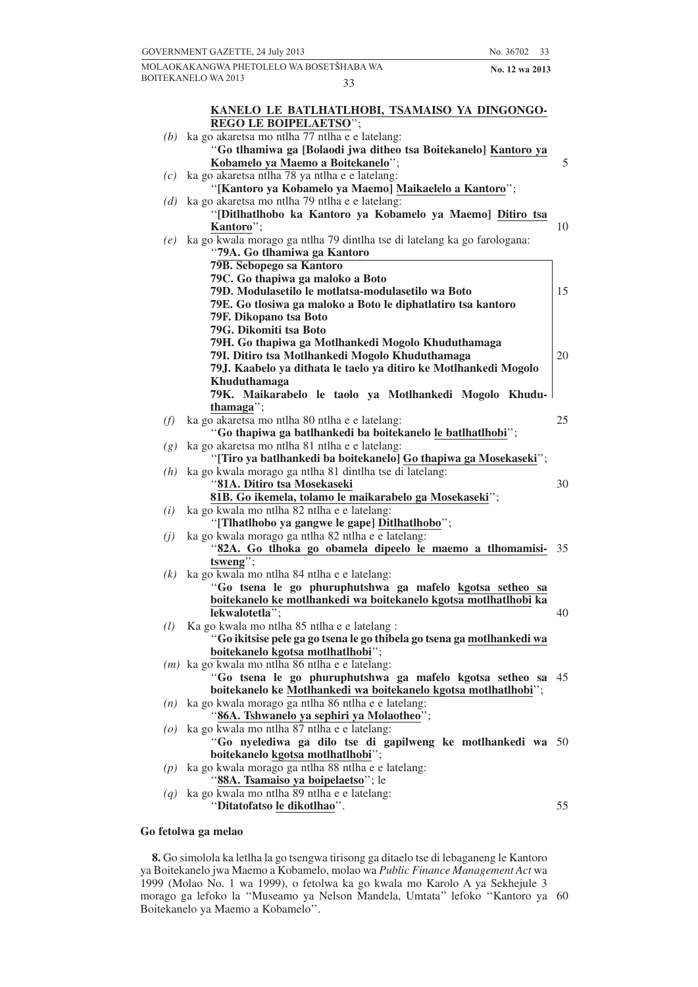|                   | GOVERNMENT GAZETTE, 24 July 2013                                                                                        | No. 36702<br>33 |    |
|-------------------|-------------------------------------------------------------------------------------------------------------------------|-----------------|----|
|                   | MOLAOKAKANGWA PHETOLELO WA BOSETŠHABA WA                                                                                | No. 12 wa 2013  |    |
|                   | <b>BOITEKANELO WA 2013</b><br>33                                                                                        |                 |    |
|                   |                                                                                                                         |                 |    |
|                   | KANELO LE BATLHATLHOBI, TSAMAISO YA DINGONGO-                                                                           |                 |    |
|                   | REGO LE BOIPELAETSO";                                                                                                   |                 |    |
|                   | $(b)$ ka go akaretsa mo ntlha 77 ntlha e e latelang:<br>"Go tlhamiwa ga [Bolaodi jwa ditheo tsa Boitekanelo] Kantoro ya |                 |    |
|                   | Kobamelo ya Maemo a Boitekanelo";                                                                                       |                 | 5  |
| (c)               | ka go akaretsa ntlha 78 ya ntlha e e latelang:                                                                          |                 |    |
|                   | "[Kantoro ya Kobamelo ya Maemo] Maikaelelo a Kantoro";                                                                  |                 |    |
| (d)               | ka go akaretsa mo ntlha 79 ntlha e e latelang:                                                                          |                 |    |
|                   | "[Ditlhatlhobo ka Kantoro ya Kobamelo ya Maemo] Ditiro tsa                                                              |                 |    |
|                   | Kantoro":                                                                                                               |                 | 10 |
| (e)               | ka go kwala morago ga ntlha 79 dintlha tse di latelang ka go farologana:                                                |                 |    |
|                   | "79A. Go tlhamiwa ga Kantoro                                                                                            |                 |    |
|                   | 79B. Sebopego sa Kantoro                                                                                                |                 |    |
|                   | 79C. Go thapiwa ga maloko a Boto<br>79D. Modulasetilo le motlatsa-modulasetilo wa Boto                                  |                 | 15 |
|                   | 79E. Go tlosiwa ga maloko a Boto le diphatlatiro tsa kantoro                                                            |                 |    |
|                   | 79F. Dikopano tsa Boto                                                                                                  |                 |    |
|                   | 79G. Dikomiti tsa Boto                                                                                                  |                 |    |
|                   | 79H. Go thapiwa ga Motlhankedi Mogolo Khuduthamaga                                                                      |                 |    |
|                   | 79I. Ditiro tsa Motlhankedi Mogolo Khuduthamaga                                                                         |                 | 20 |
|                   | 79J. Kaabelo ya dithata le taelo ya ditiro ke Motlhankedi Mogolo                                                        |                 |    |
|                   | Khuduthamaga                                                                                                            |                 |    |
|                   | 79K. Maikarabelo le taolo ya Motlhankedi Mogolo Khudu-                                                                  |                 |    |
|                   | thamaga";                                                                                                               |                 |    |
| (f)               | ka go akaretsa mo ntlha 80 ntlha e e latelang:<br>"Go thapiwa ga batlhankedi ba boitekanelo le batlhatlhobi";           |                 | 25 |
| (g)               | ka go akaretsa mo ntlha 81 ntlha e e latelang:                                                                          |                 |    |
|                   | "[Tiro ya batlhankedi ba boitekanelo] Go thapiwa ga Mosekaseki";                                                        |                 |    |
| (h)               | ka go kwala morago ga ntlha 81 dintlha tse di latelang:                                                                 |                 |    |
|                   | "81A. Ditiro tsa Mosekaseki                                                                                             |                 | 30 |
|                   | 81B. Go ikemela, tolamo le maikarabelo ga Mosekaseki";                                                                  |                 |    |
| (i)               | ka go kwala mo ntlha 82 ntlha e e latelang:                                                                             |                 |    |
|                   | "[Tlhatlhobo ya gangwe le gape] Ditlhatlhobo";                                                                          |                 |    |
| (j)               | ka go kwala morago ga ntlha 82 ntlha e e latelang:                                                                      |                 |    |
|                   | "82A. Go tlhoka go obamela dipeelo le maemo a tlhomamisi-                                                               |                 | 35 |
| (k)               | tsweng";<br>ka go kwala mo ntlha 84 ntlha e e latelang:                                                                 |                 |    |
|                   | "Go tsena le go phuruphutshwa ga mafelo kgotsa setheo sa                                                                |                 |    |
|                   | boitekanelo ke motlhankedi wa boitekanelo kgotsa motlhatlhobi ka                                                        |                 |    |
|                   | lekwalotetla";                                                                                                          |                 | 40 |
| (l)               | Ka go kwala mo ntlha 85 ntlha e e latelang :                                                                            |                 |    |
|                   | "Go ikitsise pele ga go tsena le go thibela go tsena ga motlhankedi wa                                                  |                 |    |
|                   | boitekanelo kgotsa motlhatlhobi";                                                                                       |                 |    |
|                   | $(m)$ ka go kwala mo ntlha 86 ntlha e e latelang:                                                                       |                 |    |
|                   | "Go tsena le go phuruphutshwa ga mafelo kgotsa setheo sa 45                                                             |                 |    |
|                   | boitekanelo ke Motlhankedi wa boitekanelo kgotsa motlhatlhobi";<br>ka go kwala morago ga ntlha 86 ntlha e e latelang:   |                 |    |
| (n)               | "86A. Tshwanelo ya sephiri ya Molaotheo";                                                                               |                 |    |
| $\left( 0\right)$ | ka go kwala mo ntlha 87 ntlha e e latelang:                                                                             |                 |    |
|                   | "Go nyelediwa ga dilo tse di gapilweng ke motlhankedi wa 50                                                             |                 |    |
|                   | boitekanelo kgotsa motlhatlhobi";                                                                                       |                 |    |
|                   | $(p)$ ka go kwala morago ga ntlha 88 ntlha e e latelang:                                                                |                 |    |
|                   | "88A. Tsamaiso ya boipelaetso"; le                                                                                      |                 |    |
| (q)               | ka go kwala mo ntlha 89 ntlha e e latelang:                                                                             |                 |    |
|                   | "Ditatofatso le dikotlhao".                                                                                             |                 | 55 |
|                   |                                                                                                                         |                 |    |

### **Go fetolwa ga melao**

**8.** Go simolola ka letlha la go tsengwa tirisong ga ditaelo tse di lebaganeng le Kantoro ya Boitekanelo jwa Maemo a Kobamelo, molao wa *Public Finance Management Act* wa 1999 (Molao No. 1 wa 1999), o fetolwa ka go kwala mo Karolo A ya Sekhejule 3 morago ga lefoko la ''Museamo ya Nelson Mandela, Umtata'' lefoko ''Kantoro ya Boitekanelo ya Maemo a Kobamelo''. 60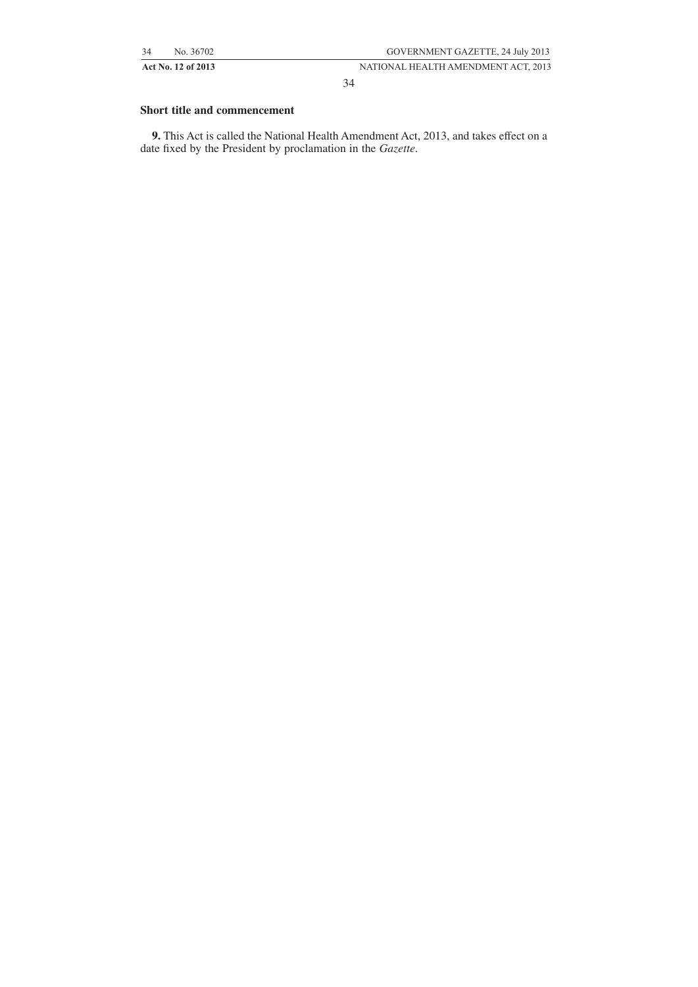34

## **Short title and commencement**

**9.** This Act is called the National Health Amendment Act, 2013, and takes effect on a date fixed by the President by proclamation in the *Gazette*.